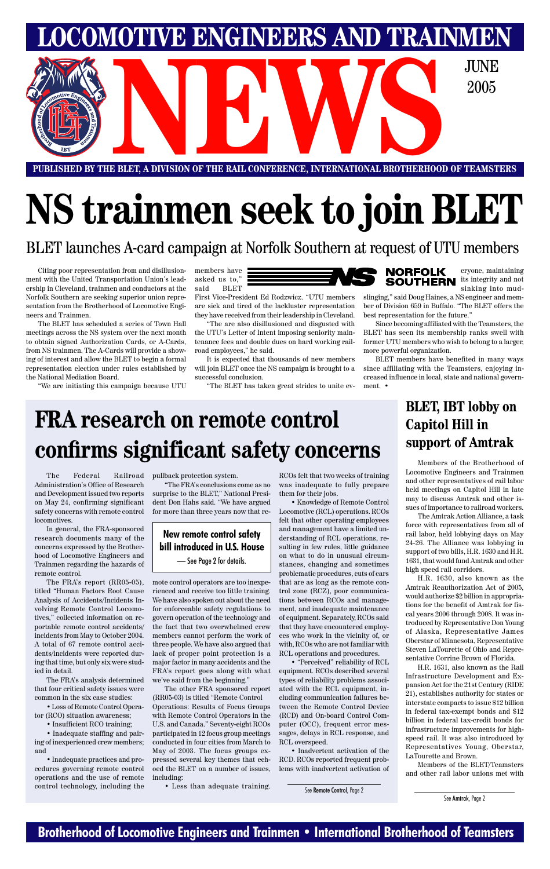### **Brotherhood of Locomotive Engineers and Trainmen • International Brotherhood of Teamsters**

**PUBLISHED BY THE BLET, A DIVISION OF THE RAIL CONFERENCE, INTERNATIONAL BROTHERHOOD OF TEAMSTERS** E BLET, A DIVISION OF THE RAIL CONFERENCE, INTERNATIONAL BROTHERHOOD OF TEAMST

**LOMOTIVE ENGINEERS AND TRAINMEN** 

2005

# **NS trainmen seek to join BLET**

BLET launches A-card campaign at Norfolk Southern at request of UTU members

Citing poor representation from and disillusionment with the United Transportation Union's leadership in Cleveland, trainmen and conductors at the Norfolk Southern are seeking superior union representation from the Brotherhood of Locomotive Engineers and Trainmen.

The BLET has scheduled a series of Town Hall meetings across the NS system over the next month to obtain signed Authorization Cards, or A-Cards, from NS trainmen. The A-Cards will provide a showing of interest and allow the BLET to begin a formal representation election under rules established by the National Mediation Board.

"We are initiating this campaign because UTU

members have asked us to," said BLET

First Vice-President Ed Rodzwicz. "UTU members are sick and tired of the lackluster representation they have received from their leadership in Cleveland.

"The are also disillusioned and disgusted with the UTU's Letter of Intent imposing seniority maintenance fees and double dues on hard working railroad employees," he said.

It is expected that thousands of new members will join BLET once the NS campaign is brought to a successful conclusion.

"The BLET has taken great strides to unite ev-



eryone, maintaining **SOUTHERN** its integrity and not sinking into mud-

slinging," said Doug Haines, a NS engineer and member of Division 659 in Buffalo. "The BLET offers the best representation for the future."

Since becoming affiliated with the Teamsters, the BLET has seen its membership ranks swell with former UTU members who wish to belong to a larger, more powerful organization.

BLET members have benefited in many ways since affiliating with the Teamsters, enjoying increased influence in local, state and national government. •

The Federal Railroad Administration's Office of Research and Development issued two reports on May 24, confirming significant safety concerns with remote control locomotives.

In general, the FRA-sponsored research documents many of the concerns expressed by the Brotherhood of Locomotive Engineers and Trainmen regarding the hazards of remote control.

The FRA's report (RR05-05), titled "Human Factors Root Cause Analysis of Accidents/Incidents Involving Remote Control Locomotives," collected information on reportable remote control accidents/ incidents from May to October 2004. A total of 67 remote control accidents/incidents were reported during that time, but only six were studied in detail.

The FRA's analysis determined that four critical safety issues were common in the six case studies:

• Loss of Remote Control Operator (RCO) situation awareness;

• Insufficient RCO training;

• Inadequate staffing and pairing of inexperienced crew members; and

• Inadequate practices and procedures governing remote control operations and the use of remote control technology, including the pullback protection system.

"The FRA's conclusions come as no surprise to the BLET," National President Don Hahs said. "We have argued for more than three years now that re-

mote control operators are too inexperienced and receive too little training. We have also spoken out about the need for enforceable safety regulations to govern operation of the technology and the fact that two overwhelmed crew members cannot perform the work of three people. We have also argued that lack of proper point protection is a major factor in many accidents and the FRA's report goes along with what we've said from the beginning." The other FRA sponsored report (RR05-03) is titled "Remote Control Operations: Results of Focus Groups with Remote Control Operators in the U.S. and Canada." Seventy-eight RCOs participated in 12 focus group meetings conducted in four cities from March to May of 2003. The focus groups expressed several key themes that echoed the BLET on a number of issues, including:

• Less than adequate training.

RCOs felt that two weeks of training was inadequate to fully prepare them for their jobs.

• Knowledge of Remote Control Locomotive (RCL) operations. RCOs felt that other operating employees and management have a limited understanding of RCL operations, resulting in few rules, little guidance on what to do in unusual circumstances, changing and sometimes problematic procedures, cuts of cars that are as long as the remote control zone (RCZ), poor communications between RCOs and management, and inadequate maintenance of equipment. Separately, RCOs said that they have encountered employees who work in the vicinity of, or with, RCOs who are not familiar with RCL operations and procedures. • "Perceived" reliability of RCL equipment. RCOs described several types of reliability problems associated with the RCL equipment, including communication failures between the Remote Control Device (RCD) and On-board Control Computer (OCC), frequent error messages, delays in RCL response, and RCL overspeed. • Inadvertent activation of the RCD. RCOs reported frequent problems with inadvertent activation of

## **FRA research on remote control confirms significant safety concerns**

See Remote Control, Page 2

### **BLET, IBT lobby on Capitol Hill in support of Amtrak**

Members of the Brotherhood of Locomotive Engineers and Trainmen and other representatives of rail labor held meetings on Capitol Hill in late may to discuss Amtrak and other issues of importance to railroad workers.

The Amtrak Action Alliance, a task force with representatives from all of rail labor, held lobbying days on May 24-26. The Alliance was lobbying in support of two bills, H.R. 1630 and H.R. 1631, that would fund Amtrak and other high speed rail corridors.

H.R. 1630, also known as the Amtrak Reauthorization Act of 2005, would authorize \$2 billion in appropriations for the benefit of Amtrak for fiscal years 2006 through 2008. It was introduced by Representative Don Young of Alaska, Representative James Oberstar of Minnesota, Representative Steven LaTourette of Ohio and Representative Corrine Brown of Florida. H.R. 1631, also known as the Rail Infrastructure Development and Expansion Act for the 21st Century (RIDE 21), establishes authority for states or interstate compacts to issue \$12 billion in federal tax-exempt bonds and \$12 billion in federal tax-credit bonds for infrastructure improvements for highspeed rail. It was also introduced by Representatives Young, Oberstar, LaTourette and Brown.

Members of the BLET/Teamsters and other rail labor unions met with

### **New remote control safety bill introduced in U.S. House** — See Page 2 for details.

See Amtrak, Page 2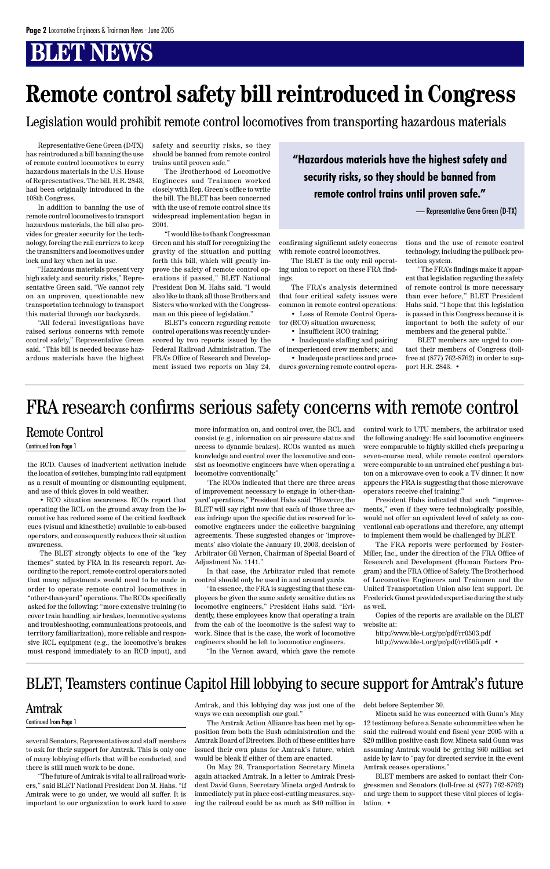the RCD. Causes of inadvertent activation include the location of switches, bumping into rail equipment as a result of mounting or dismounting equipment, and use of thick gloves in cold weather.

• RCO situation awareness. RCOs report that operating the RCL on the ground away from the locomotive has reduced some of the critical feedback cues (visual and kinesthetic) available to cab-based operators, and consequently reduces their situation awareness.

The BLET strongly objects to one of the "key themes" stated by FRA in its research report. According to the report, remote control operators noted that many adjustments would need to be made in order to operate remote control locomotives in "other-than-yard" operations. The RCOs specifically asked for the following: "more extensive training (to cover train handling, air brakes, locomotive systems and troubleshooting, communications protocols, and territory familiarization), more reliable and respon-

sive RCL equipment (e.g., the locomotive's brakes must respond immediately to an RCD input), and

more information on, and control over, the RCL and consist (e.g., information on air pressure status and access to dynamic brakes). RCOs wanted as much knowledge and control over the locomotive and consist as locomotive engineers have when operating a locomotive conventionally."

'The RCOs indicated that there are three areas of improvement necessary to engage in 'other-thanyard' operations," President Hahs said. "However, the BLET will say right now that each of those three areas infringe upon the specific duties reserved for locomotive engineers under the collective bargaining agreements. These suggested changes or 'improvements' also violate the January 10, 2003, decision of Arbitrator Gil Vernon, Chairman of Special Board of Adjustment No. 1141."

In that case, the Arbitrator ruled that remote control should only be used in and around yards.

"In essence, the FRA is suggesting that these employees be given the same safety sensitive duties as locomotive engineers," President Hahs said. "Evidently, these employees know that operating a train from the cab of the locomotive is the safest way to work. Since that is the case, the work of locomotive

engineers should be left to locomotive engineers. "In the Vernon award, which gave the remote control work to UTU members, the arbitrator used the following analogy: He said locomotive engineers were comparable to highly skilled chefs preparing a seven-course meal, while remote control operators were comparable to an untrained chef pushing a button on a microwave oven to cook a TV dinner. It now appears the FRA is suggesting that those microwave operators receive chef training."

President Hahs indicated that such "improvements," even if they were technologically possible, would not offer an equivalent level of safety as conventional cab operations and therefore, any attempt to implement them would be challenged by BLET.

- Insufficient RCO training;
- Inadequate staffing and pairing

The FRA reports were performed by Foster-Miller, Inc., under the direction of the FRA Office of Research and Development (Human Factors Program) and the FRA Office of Safety. The Brotherhood of Locomotive Engineers and Trainmen and the United Transportation Union also lent support. Dr. Frederick Gamst provided expertise during the study as well.

Copies of the reports are available on the BLET website at:

http://www.ble-t.org/pr/pdf/rr0503.pdf

http://www.ble-t.org/pr/pdf/rr0505.pdf •

### Remote Control

#### Continued from Page 1

### FRA research confirms serious safety concerns with remote control

Representative Gene Green (D-TX) has reintroduced a bill banning the use of remote control locomotives to carry hazardous materials in the U.S. House of Representatives. The bill, H.R. 2843, had been originally introduced in the 108th Congress.

In addition to banning the use of remote control locomotives to transport hazardous materials, the bill also provides for greater security for the technology, forcing the rail carriers to keep the transmitters and locomotives under lock and key when not in use.

> BLET members are asked to contact their Congressmen and Senators (toll-free at (877) 762-8762) and urge them to support these vital pieces of legislation •

"Hazardous materials present very high safety and security risks," Representative Green said. "We cannot rely on an unproven, questionable new transportation technology to transport this material through our backyards.

"All federal investigations have raised serious concerns with remote control safety," Representative Green said. "This bill is needed because hazardous materials have the highest safety and security risks, so they should be banned from remote control trains until proven safe."

The Brotherhood of Locomotive Engineers and Trainmen worked closely with Rep. Green's office to write the bill. The BLET has been concerned with the use of remote control since its widespread implementation began in 2001.

"I would like to thank Congressman Green and his staff for recognizing the gravity of the situation and putting forth this bill, which will greatly improve the safety of remote control operations if passed," BLET National President Don M. Hahs said. "I would also like to thank all those Brothers and Sisters who worked with the Congressman on this piece of legislation."

BLET's concern regarding remote control operations was recently underscored by two reports issued by the Federal Railroad Administration. The FRA's Office of Research and Development issued two reports on May 24, confirming significant safety concerns with remote control locomotives.

The BLET is the only rail operating union to report on these FRA findings.

The FRA's analysis determined that four critical safety issues were common in remote control operations:

• Loss of Remote Control Operator (RCO) situation awareness;

of inexperienced crew members; and • Inadequate practices and proce-

dures governing remote control opera-

tions and the use of remote control technology, including the pullback protection system.

"The FRA's findings make it apparent that legislation regarding the safety of remote control is more necessary than ever before," BLET President Hahs said. "I hope that this legislation is passed in this Congress because it is important to both the safety of our members and the general public."

BLET members are urged to contact their members of Congress (tollfree at (877) 762-8762) in order to support H.R. 2843. •

## **Remote control safety bill reintroduced in Congress**

Legislation would prohibit remote control locomotives from transporting hazardous materials

**"Hazardous materials have the highest safety and security risks, so they should be banned from remote control trains until proven safe."**

— Representative Gene Green (D-TX)

several Senators, Representatives and staff members to ask for their support for Amtrak. This is only one of many lobbying efforts that will be conducted, and there is still much work to be done.

"The future of Amtrak is vital to all railroad workers," said BLET National President Don M. Hahs. "If Amtrak were to go under, we would all suffer. It is important to our organization to work hard to save Amtrak, and this lobbying day was just one of the ways we can accomplish our goal."

The Amtrak Action Alliance has been met by opposition from both the Bush administration and the Amtrak Board of Directors. Both of these entities have issued their own plans for Amtrak's future, which would be bleak if either of them are enacted.

On May 26, Transportation Secretary Mineta again attacked Amtrak. In a letter to Amtrak President David Gunn, Secretary Mineta urged Amtrak to immediately put in place cost-cutting measures, saying the railroad could be as much as \$40 million in

debt before September 30.

Mineta said he was concerned with Gunn's May 12 testimony before a Senate subcommittee when he said the railroad would end fiscal year 2005 with a \$20 million positive cash flow. Mineta said Gunn was assuming Amtrak would be getting \$60 million set aside by law to "pay for directed service in the event Amtrak ceases operations."

### Amtrak

### Continued from Page 1

### BLET, Teamsters continue Capitol Hill lobbying to secure support for Amtrak's future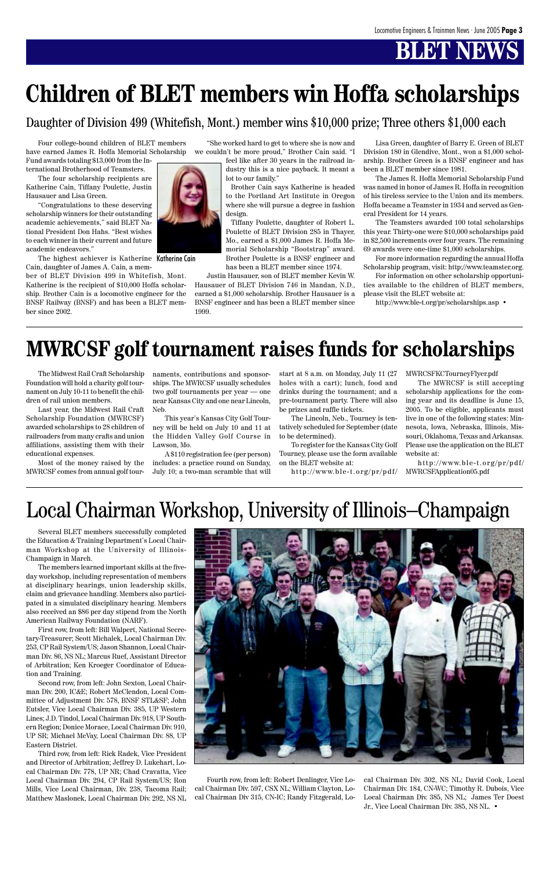Several BLET members successfully completed the Education & Training Department's Local Chairman Workshop at the University of Illinois-Champaign in March.

The members learned important skills at the fiveday workshop, including representation of members at disciplinary hearings, union leadership skills, claim and grievance handling. Members also participated in a simulated disciplinary hearing. Members also received an \$86 per day stipend from the North American Railway Foundation (NARF).

First row, from left: Bill Walpert, National Secretary-Treasurer; Scott Michalek, Local Chairman Div. 253, CP Rail System/US; Jason Shannon, Local Chairman Div. 86, NS NL; Marcus Ruef, Assistant Director of Arbitration; Ken Kroeger Coordinator of Education and Training.



Second row, from left: John Sexton, Local Chairman Div. 200, IC&E; Robert McClendon, Local Committee of Adjustment Div. 578, BNSF STL&SF; John Eutsler, Vice Local Chairman Div. 385, UP Western Lines; J.D. Tindol, Local Chairman Div. 918, UP Southern Region; Donice Morace, Local Chairman Div. 910, UP SR; Michael McVay, Local Chairman Div. 88, UP Eastern District.

Third row, from left: Rick Radek, Vice President and Director of Arbitration; Jeffrey D. Lukehart, Local Chairman Div. 778, UP NR; Chad Cravatta, Vice Local Chairman Div. 294, CP Rail System/US; Ron Mills, Vice Local Chairman, Div. 238, Tacoma Rail; Matthew Maslonek, Local Chairman Div. 292, NS NL

The highest achiever is Katherine Katherine Cain Cain, daughter of James A. Cain, a mem-

### Local Chairman Workshop, University of Illinois–Champaign

Fourth row, from left: Robert Denlinger, Vice Local Chairman Div. 597, CSX NL; William Clayton, Local Chairman Div 315, CN-IC; Randy Fitzgerald, Local Chairman Div. 302, NS NL; David Cook, Local Chairman Div. 184, CN-WC; Timothy R. Dubois, Vice Local Chairman Div. 385, NS NL; James Ter Doest Jr., Vice Local Chairman Div. 385, NS NL. •

The Midwest Rail Craft Scholarship Foundation will hold a charity golf tournament on July 10-11 to benefit the children of rail union members.

Last year, the Midwest Rail Craft Scholarship Foundation (MWRCSF) awarded scholarships to 28 children of railroaders from many crafts and union affiliations, assisting them with their educational expenses.

Most of the money raised by the MWRCSF comes from annual golf tour-

Four college-bound children of BLET members have earned James R. Hoffa Memorial Scholarship Fund awards totaling \$13,000 from the In-

ternational Brotherhood of Teamsters.

The four scholarship recipients are Katherine Cain, Tiffany Poulette, Justin Hausauer and Lisa Green.

"Congratulations to these deserving scholarship winners for their outstanding academic achievements," said BLET National President Don Hahs. "Best wishes to each winner in their current and future academic endeavors."

ber of BLET Division 499 in Whitefish, Mont. Katherine is the recipient of \$10,000 Hoffa scholarship. Brother Cain is a locomotive engineer for the BNSF Railway (BNSF) and has been a BLET member since 2002.



"She worked hard to get to where she is now and we couldn't be more proud," Brother Cain said. "I

feel like after 30 years in the railroad industry this is a nice payback. It meant a lot to our family."

Brother Cain says Katherine is headed to the Portland Art Institute in Oregon where she will pursue a degree in fashion design.

Tiffany Poulette, daughter of Robert L. Poulette of BLET Division 285 in Thayer, Mo., earned a \$1,000 James R. Hoffa Memorial Scholarship "Bootstrap" award. Brother Poulette is a BNSF engineer and has been a BLET member since 1974.

Justin Hausauer, son of BLET member Kevin W. Hausauer of BLET Division 746 in Mandan, N.D., earned a \$1,000 scholarship. Brother Hausauer is a BNSF engineer and has been a BLET member since 1999.

Lisa Green, daughter of Barry E. Green of BLET Division 180 in Glendive, Mont., won a \$1,000 scholarship. Brother Green is a BNSF engineer and has been a BLET member since 1981.

The James R. Hoffa Memorial Scholarship Fund was named in honor of James R. Hoffa in recognition of his tireless service to the Union and its members. Hoffa became a Teamster in 1934 and served as General President for 14 years.

The Teamsters awarded 100 total scholarships this year. Thirty-one were \$10,000 scholarships paid in \$2,500 increments over four years. The remaining 69 awards were one-time \$1,000 scholarships.

For more information regarding the annual Hoffa Scholarship program, visit: http://www.teamster.org.

For information on other scholarship opportunities available to the children of BLET members, please visit the BLET website at:

http://www.ble-t.org/pr/scholarships.asp •

## **Children of BLET members win Hoffa scholarships**

naments, contributions and sponsorships. The MWRCSF usually schedules two golf tournaments per year — one near Kansas City and one near Lincoln, Neb.

This year's Kansas City Golf Tourney will be held on July 10 and 11 at the Hidden Valley Golf Course in Lawson, Mo.

A \$110 registration fee (per person) includes: a practice round on Sunday, July 10; a two-man scramble that will start at 8 a.m. on Monday, July 11 (27 holes with a cart); lunch, food and drinks during the tournament; and a pre-tournament party. There will also be prizes and raffle tickets.

The Lincoln, Neb., Tourney is tentatively scheduled for September (date to be determined).

To register for the Kansas City Golf Tourney, please use the form available on the BLET website at:

MWRCSFKCTourneyFlyer.pdf

http://www.ble-t.org/pr/pdf/ MWRCSFApplication05.pdf http://www.ble-t.org/pr/pdf/

The MWRCSF is still accepting scholarship applications for the coming year and its deadline is June 15, 2005. To be eligible, applicants must live in one of the following states: Minnesota, Iowa, Nebraska, Illinois, Missouri, Oklahoma, Texas and Arkansas. Please use the application on the BLET website at:

## **MWRCSF golf tournament raises funds for scholarships**

Daughter of Division 499 (Whitefish, Mont.) member wins \$10,000 prize; Three others \$1,000 each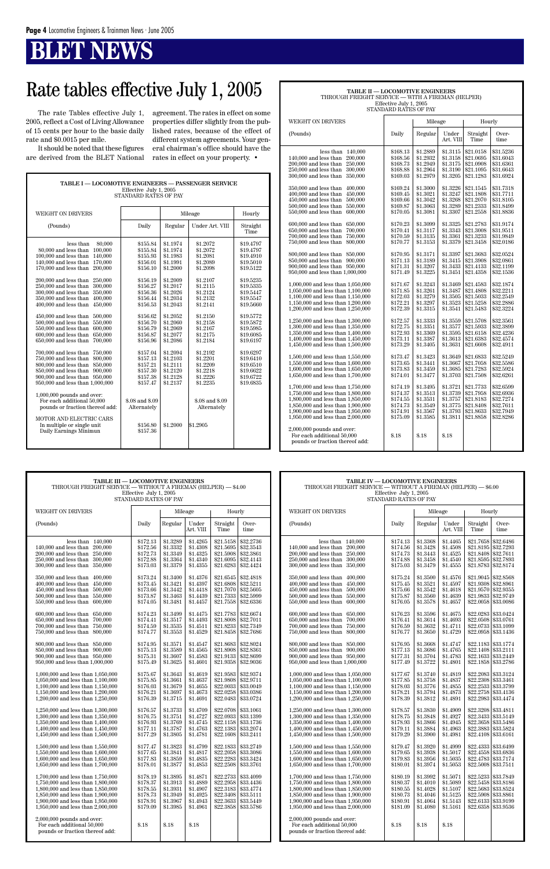**TABLE I — LOCOMOTIVE ENGINEERS — PASSENGER SERVICE**

|                                                                                                                                                                                                                                                                                                                                                                                                                                                                                                                                                                                                                                                                                                                                                                                                                                                                                                                                                      | Effective July 1, 2005<br><b>STANDARD RATES OF PAY</b>                                                                                                                                                                                                                                                             |                                                                                                                                                                                                                                                                      |                                                                                                                                                                                                                                                                                                        |                                                                                                                                                                                                                                                                               |
|------------------------------------------------------------------------------------------------------------------------------------------------------------------------------------------------------------------------------------------------------------------------------------------------------------------------------------------------------------------------------------------------------------------------------------------------------------------------------------------------------------------------------------------------------------------------------------------------------------------------------------------------------------------------------------------------------------------------------------------------------------------------------------------------------------------------------------------------------------------------------------------------------------------------------------------------------|--------------------------------------------------------------------------------------------------------------------------------------------------------------------------------------------------------------------------------------------------------------------------------------------------------------------|----------------------------------------------------------------------------------------------------------------------------------------------------------------------------------------------------------------------------------------------------------------------|--------------------------------------------------------------------------------------------------------------------------------------------------------------------------------------------------------------------------------------------------------------------------------------------------------|-------------------------------------------------------------------------------------------------------------------------------------------------------------------------------------------------------------------------------------------------------------------------------|
| <b>WEIGHT ON DRIVERS</b>                                                                                                                                                                                                                                                                                                                                                                                                                                                                                                                                                                                                                                                                                                                                                                                                                                                                                                                             |                                                                                                                                                                                                                                                                                                                    |                                                                                                                                                                                                                                                                      | Mileage                                                                                                                                                                                                                                                                                                | Hourly                                                                                                                                                                                                                                                                        |
| (Pounds)                                                                                                                                                                                                                                                                                                                                                                                                                                                                                                                                                                                                                                                                                                                                                                                                                                                                                                                                             | Daily                                                                                                                                                                                                                                                                                                              | Regular                                                                                                                                                                                                                                                              | Under Art. VIII                                                                                                                                                                                                                                                                                        | Straight<br>Time                                                                                                                                                                                                                                                              |
| 80,000<br>less than<br>80,000 and less than 100,000<br>100,000 and less than<br>140,000<br>140,000 and less than<br>170,000<br>170,000 and less than<br>200,000<br>200,000 and less than<br>250,000<br>300,000<br>250,000 and less than<br>300,000 and less than<br>350,000<br>350,000 and less than<br>400,000<br>450,000<br>400,000 and less than<br>$450,000$ and less than<br>500,000<br>500,000 and less than<br>550,000<br>550,000 and less than<br>600,000<br>600,000 and less than<br>650,000<br>700,000<br>650,000 and less than<br>700,000 and less than<br>750,000<br>750,000 and less than<br>800,000<br>800,000 and less than<br>850,000<br>850,000 and less than<br>900,000<br>900,000 and less than<br>950,000<br>950,000 and less than 1,000,000<br>$1,000,000$ pounds and over:<br>For each additional 50,000<br>pounds or fraction thereof add:<br>MOTOR AND ELECTRIC CARS<br>In multiple or single unit<br>Daily Earnings Minimun | \$155.84<br>\$155.84<br>\$155.93<br>\$156.01<br>\$156.10<br>\$156.19<br>\$156.27<br>\$156.36<br>\$156.44<br>\$156.53<br>\$156.62<br>\$156.70<br>\$156.79<br>\$156.87<br>\$156.96<br>\$157.04<br>\$157.13<br>\$157.21<br>\$157.30<br>\$157.38<br>\$157.47<br>\$.08 and \$.09<br>Alternately<br>\$156.80<br>\$157.36 | \$1.1974<br>\$1.1974<br>\$1.1983<br>\$1.1991<br>\$1.2000<br>\$1.2009<br>\$1.2017<br>\$1.2026<br>\$1.2034<br>\$1.2043<br>\$1.2052<br>\$1.2060<br>\$1.2069<br>\$1.2077<br>\$1.2086<br>\$1.2094<br>\$1.2103<br>\$1.2111<br>\$1.2120<br>\$1.2128<br>\$1.2137<br>\$1.2000 | \$1.2072<br>\$1.2072<br>\$1.2081<br>\$1.2089<br>\$1.2098<br>\$1.2107<br>\$1.2115<br>\$1.2124<br>\$1.2132<br>\$1.2141<br>\$1.2150<br>\$1.2158<br>\$1.2167<br>\$1.2175<br>\$1.2184<br>\$1.2192<br>\$1.2201<br>\$1.2209<br>\$1.2218<br>\$1.2226<br>\$1.2235<br>\$.08 and \$.09<br>Alternately<br>\$1.2905 | \$19.4797<br>\$19.4797<br>\$19.4910<br>\$19.5010<br>\$19.5122<br>\$19.5235<br>\$19.5335<br>\$19.5447<br>\$19.5547<br>\$19.5660<br>\$19.5772<br>\$19.5872<br>\$19.5985<br>\$19.6085<br>\$19.6197<br>\$19.6297<br>\$19.6410<br>\$19.6510<br>\$19.6622<br>\$19.6722<br>\$19.6835 |
|                                                                                                                                                                                                                                                                                                                                                                                                                                                                                                                                                                                                                                                                                                                                                                                                                                                                                                                                                      |                                                                                                                                                                                                                                                                                                                    |                                                                                                                                                                                                                                                                      |                                                                                                                                                                                                                                                                                                        |                                                                                                                                                                                                                                                                               |

| TABLE II - LOCOMOTIVE ENGINEERS<br>THROUGH FREIGHT SERVICE - WITH A FIREMAN (HELPER)<br>Effective July 1, 2005<br>STANDARD RATES OF PAY                                                                                                                                                                                                                                                                                                                                                                                                                                                                                                                                                                                                                                                                                                                                                                                                                                                                                                                                                                                                                                                        |                                                                                                                                                                                                                                                                                                                                                                                              |                                                                                                                                                                                                                                                                                                                                                                                              |                                                                                                                                                                                                                                                                                                                                                                                              |                                                                                                                                                                                                                                                                                                                                                                                                                              |                                                                                                                                                                                                                                                                                                                                                                                                                              |  |  |  |  |  |
|------------------------------------------------------------------------------------------------------------------------------------------------------------------------------------------------------------------------------------------------------------------------------------------------------------------------------------------------------------------------------------------------------------------------------------------------------------------------------------------------------------------------------------------------------------------------------------------------------------------------------------------------------------------------------------------------------------------------------------------------------------------------------------------------------------------------------------------------------------------------------------------------------------------------------------------------------------------------------------------------------------------------------------------------------------------------------------------------------------------------------------------------------------------------------------------------|----------------------------------------------------------------------------------------------------------------------------------------------------------------------------------------------------------------------------------------------------------------------------------------------------------------------------------------------------------------------------------------------|----------------------------------------------------------------------------------------------------------------------------------------------------------------------------------------------------------------------------------------------------------------------------------------------------------------------------------------------------------------------------------------------|----------------------------------------------------------------------------------------------------------------------------------------------------------------------------------------------------------------------------------------------------------------------------------------------------------------------------------------------------------------------------------------------|------------------------------------------------------------------------------------------------------------------------------------------------------------------------------------------------------------------------------------------------------------------------------------------------------------------------------------------------------------------------------------------------------------------------------|------------------------------------------------------------------------------------------------------------------------------------------------------------------------------------------------------------------------------------------------------------------------------------------------------------------------------------------------------------------------------------------------------------------------------|--|--|--|--|--|
| <b>WEIGHT ON DRIVERS</b>                                                                                                                                                                                                                                                                                                                                                                                                                                                                                                                                                                                                                                                                                                                                                                                                                                                                                                                                                                                                                                                                                                                                                                       |                                                                                                                                                                                                                                                                                                                                                                                              | Mileage                                                                                                                                                                                                                                                                                                                                                                                      |                                                                                                                                                                                                                                                                                                                                                                                              | Hourly                                                                                                                                                                                                                                                                                                                                                                                                                       |                                                                                                                                                                                                                                                                                                                                                                                                                              |  |  |  |  |  |
| (Pounds)                                                                                                                                                                                                                                                                                                                                                                                                                                                                                                                                                                                                                                                                                                                                                                                                                                                                                                                                                                                                                                                                                                                                                                                       | Daily                                                                                                                                                                                                                                                                                                                                                                                        | Regular                                                                                                                                                                                                                                                                                                                                                                                      | Under<br>Art. VIII                                                                                                                                                                                                                                                                                                                                                                           | Straight<br>Time                                                                                                                                                                                                                                                                                                                                                                                                             | Over-<br>time                                                                                                                                                                                                                                                                                                                                                                                                                |  |  |  |  |  |
| 140,000<br>less than<br>200,000<br>140,000 and less than<br>250,000<br>200,000 and less than<br>300,000<br>250,000 and less than<br>300,000 and less than<br>350,000<br>350,000 and less than<br>400,000<br>400,000 and less than<br>450,000<br>$450,000$ and less than<br>500,000<br>500,000 and less than<br>550,000<br>550,000 and less than<br>600,000<br>$600,000$ and less than<br>650,000<br>650,000 and less than<br>700,000<br>700,000 and less than<br>750,000<br>750,000 and less than<br>800,000<br>800,000 and less than<br>850,000<br>850,000 and less than<br>900,000<br>900,000 and less than 950,000<br>950,000 and less than 1,000,000<br>1,000,000 and less than 1,050,000<br>1,050,000 and less than 1,100,000<br>1,100,000 and less than 1,150,000<br>1,150,000 and less than 1,200,000<br>1,200,000 and less than 1,250,000<br>1,250,000 and less than 1,300,000<br>1,300,000 and less than 1,350,000<br>1,350,000 and less than 1,400,000<br>1,400,000 and less than 1,450,000<br>1,450,000 and less than 1,500,000<br>1,500,000 and less than 1,550,000<br>1,550,000 and less than 1,600,000<br>1,600,000 and less than 1,650,000<br>1,650,000 and less than 1,700,000 | \$168.13<br>\$168.56<br>\$168.73<br>\$168.88<br>\$169.03<br>\$169.24<br>\$169.45<br>\$169.66<br>\$169.87<br>\$170.05<br>\$170.23<br>\$170.41<br>\$170.59<br>\$170.77<br>\$170.95<br>\$171.13<br>\$171.31<br>\$171.49<br>\$171.67<br>\$171.85<br>\$172.03<br>\$172.21<br>\$172.39<br>\$172.57<br>\$172.75<br>\$172.93<br>\$173.11<br>\$173.29<br>\$173.47<br>\$173.65<br>\$173.83<br>\$174.01 | \$1.2889<br>\$1.2932<br>\$1.2949<br>\$1.2964<br>\$1.2979<br>\$1.3000<br>\$1.3021<br>\$1.3042<br>\$1.3063<br>\$1.3081<br>\$1.3099<br>\$1.3117<br>\$1.3135<br>\$1.3153<br>\$1.3171<br>\$1.3189<br>\$1.3207<br>\$1.3225<br>\$1.3243<br>\$1.3261<br>\$1.3279<br>\$1.3297<br>\$1.3315<br>\$1.3333<br>\$1.3351<br>\$1.3369<br>\$1.3387<br>\$1.3405<br>\$1.3423<br>\$1.3441<br>\$1.3459<br>\$1.3477 | \$1.3115<br>\$1.3158<br>\$1.3175<br>\$1.3190<br>\$1.3205<br>\$1.3226<br>\$1.3247<br>\$1.3268<br>\$1.3289<br>\$1.3307<br>\$1.3325<br>\$1.3343<br>\$1.3361<br>\$1.3379<br>\$1.3397<br>\$1.3415<br>\$1.3433<br>\$1.3451<br>\$1.3469<br>\$1.3487<br>\$1.3505<br>\$1.3523<br>\$1.3541<br>\$1.3559<br>\$1.3577<br>\$1.3595<br>\$1.3613<br>\$1.3631<br>\$1.3649<br>\$1.3667<br>\$1.3685<br>\$1.3703 | \$21.0158<br>\$21.0695<br>\$21.0908<br>\$21.1095<br>\$21.1283<br>\$21.1545<br>\$21.1808<br>\$21.2070<br>\$21.2333<br>\$21.2558<br>\$21.2783<br>\$21.3008<br>\$21.3233<br>\$21.3458<br>\$21.3683<br>\$21.3908<br>\$21.4133<br>\$21.4358<br>\$21.4583<br>\$21.4808<br>\$21.5033<br>\$21.5258<br>\$21.5483<br>\$21.5708<br>\$21.5933<br>\$21.6158<br>\$21.6383<br>\$21.6608<br>\$21.6833<br>\$21.7058<br>\$21.7283<br>\$21.7508 | \$31.5236<br>\$31.6043<br>\$31.6361<br>\$31.6643<br>\$31.6924<br>\$31.7318<br>\$31.7711<br>\$31.8105<br>\$31.8499<br>\$31.8836<br>\$31.9174<br>\$31.9511<br>\$31.9849<br>\$32.0186<br>\$32.0524<br>\$32.0861<br>\$32.1199<br>\$32.1536<br>\$32.1874<br>\$32.2211<br>\$32,2549<br>\$32,2886<br>\$32.3224<br>\$32.3561<br>\$32.3899<br>\$32.4236<br>\$32.4574<br>\$32.4911<br>\$32.5249<br>\$32.5586<br>\$32.5924<br>\$32.6261 |  |  |  |  |  |
| 1,700,000 and less than 1,750,000<br>1,750,000 and less than 1,800,000<br>1,800,000 and less than 1,850,000<br>1,850,000 and less than 1,900,000<br>1,900,000 and less than 1,950,000<br>1,950,000 and less than 2,000,000                                                                                                                                                                                                                                                                                                                                                                                                                                                                                                                                                                                                                                                                                                                                                                                                                                                                                                                                                                     | \$174.19<br>\$174.37<br>\$174.55<br>\$174.73<br>\$174.91<br>\$175.09                                                                                                                                                                                                                                                                                                                         | \$1.3495<br>\$1.3513<br>\$1.3531<br>\$1.3549<br>\$1.3567<br>\$1.3585                                                                                                                                                                                                                                                                                                                         | \$1.3721<br>\$1.3739<br>\$1.3757<br>\$1.3775<br>\$1.3793<br>\$1.3811                                                                                                                                                                                                                                                                                                                         | \$21.7733<br>\$21.7958<br>\$21.8183<br>\$21.8408<br>\$21.8633<br>\$21.8858                                                                                                                                                                                                                                                                                                                                                   | \$32.6599<br>\$32.6936<br>\$32.7274<br>\$32.7611<br>\$32.7949<br>\$32.8286                                                                                                                                                                                                                                                                                                                                                   |  |  |  |  |  |
| $2,000,000$ pounds and over:<br>For each additional 50,000<br>pounds or fraction thereof add:                                                                                                                                                                                                                                                                                                                                                                                                                                                                                                                                                                                                                                                                                                                                                                                                                                                                                                                                                                                                                                                                                                  | \$.18                                                                                                                                                                                                                                                                                                                                                                                        | \$.18                                                                                                                                                                                                                                                                                                                                                                                        | \$.18                                                                                                                                                                                                                                                                                                                                                                                        |                                                                                                                                                                                                                                                                                                                                                                                                                              |                                                                                                                                                                                                                                                                                                                                                                                                                              |  |  |  |  |  |

The rate Tables effective July 1, 2005, reflect a Cost of Living Allowance of 15 cents per hour to the basic daily rate and \$0.0015 per mile.

It should be noted that these figures are derived from the BLET National

| <b>TABLE III - LOCOMOTIVE ENGINEERS</b><br>THROUGH FREIGHT SERVICE - WITHOUT A FIREMAN (HELPER) - \$4.00<br>Effective July 1, 2005<br>STANDARD RATES OF PAY                                                                |                                                                      |                                                                      |                                                                      |                                                                            |                                                                                        | <b>TABLE IV - LOCOMOTIVE ENGINEERS</b><br>THROUGH FREIGHT SERVICE — WITHOUT A FIREMAN (HELPER) — \$6.00<br>Effective July 1, 2005<br>STANDARD RATES OF PAY                                                                 |                                                                      |                                                                      |                                                                      |                                                                       |                                                                                             |
|----------------------------------------------------------------------------------------------------------------------------------------------------------------------------------------------------------------------------|----------------------------------------------------------------------|----------------------------------------------------------------------|----------------------------------------------------------------------|----------------------------------------------------------------------------|----------------------------------------------------------------------------------------|----------------------------------------------------------------------------------------------------------------------------------------------------------------------------------------------------------------------------|----------------------------------------------------------------------|----------------------------------------------------------------------|----------------------------------------------------------------------|-----------------------------------------------------------------------|---------------------------------------------------------------------------------------------|
| WEIGHT ON DRIVERS                                                                                                                                                                                                          |                                                                      |                                                                      | Hourly<br>Mileage                                                    |                                                                            | WEIGHT ON DRIVERS                                                                      |                                                                                                                                                                                                                            | Mileage                                                              |                                                                      | Hourly                                                               |                                                                       |                                                                                             |
| (Pounds)                                                                                                                                                                                                                   | Daily                                                                | Regular                                                              | Under<br>Art. VIII                                                   | Straight<br>Time                                                           | Over-<br>time                                                                          | (Pounds)                                                                                                                                                                                                                   | Daily                                                                | Regular                                                              | Under<br>Art. VIII                                                   | Straight<br>Time                                                      | Over-<br>time                                                                               |
| less than $140,000$<br>200,000<br>$140.000$ and less than<br>200,000 and less than 250,000<br>250,000 and less than 300,000<br>300,000 and less than 350,000                                                               | \$172.13<br>\$172.56<br>\$172.73<br>\$172.88<br>\$173.03             | \$1.3289<br>\$1.3332<br>\$1.3349<br>\$1.3364<br>\$1.3379             | \$1.4265<br>\$1.4308<br>\$1.4325<br>\$1.4340<br>\$1.4355             | \$21.5158<br>\$21.5695<br>\$21.6095<br>\$21.6283                           | \$32.2736<br>\$32,3543<br>$$21.5908$ \$32.3861<br>\$32,4143<br>\$32.4424               | less than $140.000$<br>140,000 and less than 200,000<br>200,000 and less than 250,000<br>250,000 and less than 300,000<br>300,000 and less than 350,000                                                                    | \$174.13<br>\$174.56<br>\$174.73<br>\$174.88<br>\$175.03             | \$1.3368<br>\$1.3428<br>\$1.3443<br>\$1.3458<br>\$1.3479             | \$1.4465<br>\$1.4508<br>\$1.4525<br>\$1.4540<br>\$1.4555             | \$21.7658<br>\$21.8195<br>\$21.8408 \\$32.7611<br>\$21.8783 \$32,8174 | \$32.6486<br>\$32.7293<br>\$21.8595 \$32.7893                                               |
| 350,000 and less than 400,000<br>400,000 and less than 450,000<br>450,000 and less than 500,000<br>$500,000$ and less than<br>550,000<br>550,000 and less than<br>600,000                                                  | \$173.24<br>\$173.45<br>\$173.66<br>\$173.87<br>\$174.05             | \$1.3400<br>\$1.3421<br>\$1.3442<br>\$1.3463<br>\$1.3481             | \$1.4376<br>\$1.4397<br>\$1.4418<br>\$1.4439<br>\$1.4457             | \$21.6808<br>\$21.7333<br>\$21.7558                                        | $$21.6545 \mid $32.4818$<br>\$32.5211<br>\$21.7070 \$32.5605<br>\$32.5999<br>\$32.6336 | 350,000 and less than 400,000<br>400,000 and less than 450,000<br>450,000 and less than 500,000<br>500,000 and less than 550,000<br>550,000 and less than 600,000                                                          | \$175.24<br>\$175.45<br>\$175.66<br>\$175.87<br>\$176.05             | \$1.3500<br>\$1.3521<br>\$1.3542<br>\$1.3560<br>\$1.3578             | \$1.4576<br>\$1.4597<br>\$1.4618<br>\$1.4639<br>\$1.4657             | \$21.9045 \$32.8568<br>\$21.9308 \$32,8961                            | \$21.9570 \$32.9355<br>\$21.9833 \$32.9749<br>\$22.0058 \$33.0086                           |
| 600,000 and less than 650,000<br>650,000 and less than<br>700.000<br>700,000 and less than<br>750,000<br>750,000 and less than 800,000                                                                                     | \$174.23<br>\$174.41<br>\$174.59<br>\$174.77                         | \$1.3499<br>\$1.3517<br>\$1.3535<br>\$1.3553                         | \$1.4475<br>\$1.4493<br>\$1.4511<br>\$1.4529                         | \$21.7783<br>\$21.8008<br>\$21.8458                                        | \$32.6674<br>\$32.7011<br>\$21.8233 \$32.7349<br>\$32.7686                             | 600,000 and less than 650,000<br>650,000 and less than 700,000<br>700,000 and less than 750,000<br>750,000 and less than 800,000                                                                                           | \$176.23<br>\$176.41<br>\$176.59<br>\$176.77                         | \$1.3596<br>\$1.3614<br>\$1.3632<br>\$1.3650                         | \$1.4675<br>\$1.4693<br>\$1.4711<br>\$1.4729                         | \$22.0283<br>\$22.0508 \$33.0761                                      | \$33,0424<br>\$22.0733 \$33.1099<br>\$22.0958 \$33.1436                                     |
| 800,000 and less than 850,000<br>850,000 and less than 900,000<br>900,000 and less than 950,000<br>950,000 and less than 1,000,000                                                                                         | \$174.95<br>\$175.13<br>\$175.31<br>\$175.49                         | \$1.3571<br>\$1.3589<br>\$1.3607<br>\$1.3625                         | \$1.4547<br>\$1.4565<br>\$1.4583<br>\$1.4601                         | \$21.8683<br>\$21.8908<br>\$21.9358                                        | \$32,8024<br>\$32.8361<br>$$21.9133 \;   \; $32.8699$<br>\$32.9036                     | 800,000 and less than 850,000<br>850,000 and less than 900,000<br>900,000 and less than 950,000<br>950,000 and less than 1,000,000                                                                                         | \$176.95<br>\$177.13<br>\$177.31<br>\$177.49                         | \$1.3668<br>\$1.3686<br>\$1.3704<br>\$1.3722                         | \$1.4747<br>\$1.4765<br>\$1.4783<br>\$1.4801                         | \$22.1183 \\$33.1774<br>\$22.1633 \\$33.2449                          | \$22.1408 \$33.2111<br>\$22.1858 \$33.2786                                                  |
| 1,000,000 and less than 1,050,000<br>$1,050,000$ and less than $1,100,000$<br>1,100,000 and less than 1,150,000<br>1,150,000 and less than 1,200,000<br>1,200,000 and less than 1,250,000                                  | \$175.67<br>\$175.85<br>\$176.03<br>\$176.21<br>\$176.39             | \$1.3643<br>\$1.3661<br>\$1.3679<br>\$1.3697<br>\$1.3715             | \$1.4619<br>\$1.4637<br>\$1.4655<br>\$1.4673<br>\$1.4691             | \$21.9583<br>\$22.0033<br>\$22.0258<br>\$22.0483                           | \$32.9374<br>\$21.9808 \$32.9711<br>\$33.0049<br>\$33.0386<br>\$33.0724                | 1,000,000 and less than 1,050,000<br>1,050,000 and less than 1,100,000<br>1,100,000 and less than 1,150,000<br>1,150,000 and less than 1,200,000<br>1,200,000 and less than 1,250,000                                      | \$177.67<br>\$177.85<br>\$178.03<br>\$178.21<br>\$178.39             | \$1.3740<br>\$1.3758<br>\$1.3776<br>\$1.3794<br>\$1.3812             | \$1.4819<br>\$1.4837<br>\$1.4855<br>\$1.4873<br>\$1.4891             | \$22.2308 \$33.3461<br>\$22.2758<br>\$22.2983   \$33.4474             | \$22,2083   \$33,3124<br>\$22.2533 \$33.3799<br>\$33.4136                                   |
| 1,250,000 and less than $1,300,000$<br>1,300,000 and less than 1,350,000<br>1,350,000 and less than 1,400,000<br>1,400,000 and less than 1,450,000<br>1,450,000 and less than 1,500,000                                    | \$176.57<br>\$176.75<br>\$176.93<br>\$177.11<br>\$177.29             | \$1.3733<br>\$1.3751<br>\$1.3769<br>\$1.3787<br>\$1.3805             | \$1.4709<br>\$1.4727<br>\$1.4745<br>\$1.4763<br>\$1.4781             | \$22.0708<br>\$22.0933<br>\$22.1158<br>\$22.1383<br>\$22.1608              | \$33.1061<br>\$33.1399<br>\$33.1736<br>\$33.2074<br>\$33.2411                          | 1,250,000 and less than 1,300,000<br>1,300,000 and less than 1,350,000<br>1,350,000 and less than 1,400,000<br>1,400,000 and less than 1,450,000<br>1,450,000 and less than 1,500,000                                      | \$178.57<br>\$178.75<br>\$178.93<br>\$179.11<br>\$179.29             | \$1.3830<br>\$1.3848<br>\$1.3866<br>\$1.3884<br>\$1.3900             | \$1.4909<br>\$1.4927<br>\$1.4945<br>\$1.4963<br>\$1.4981             | \$22.3208<br>\$22.3658<br>\$22.3883<br>\$22.4108 \$33.6161            | \$33.4811<br>\$22.3433 \$33.5149<br>\$33.5486<br>\$33.5824                                  |
| 1,500,000 and less than 1,550,000<br>1,550,000 and less than 1,600,000<br>1,600,000 and less than 1,650,000<br>1,650,000 and less than 1,700,000                                                                           | \$177.47<br>\$177.65<br>\$177.83<br>\$178.01                         | \$1.3823<br>\$1.3841<br>\$1.3859<br>\$1.3877                         | \$1.4799<br>\$1.4817<br>\$1.4835<br>\$1.4853                         | \$22.1833<br>\$22.2058<br>\$22.2283<br>\$22,2508                           | \$33,2749<br>\$33,3086<br>\$33.3424<br>\$33.3761                                       | 1,500,000 and less than 1,550,000<br>1.550,000 and less than 1.600,000<br>1,600,000 and less than 1,650,000<br>1,650,000 and less than 1,700,000                                                                           | \$179.47<br>\$179.65<br>\$179.83<br>\$180.01                         | \$1.3920<br>\$1.3938<br>\$1.3956<br>\$1.3974                         | \$1.4999<br>\$1.5017<br>\$1.5035<br>\$1.5053                         | \$22.4333<br>\$22.4558<br>\$22.4783<br>\$22.5008 \$33.7511            | \$33.6499<br>\$33.6836<br>\$33,7174                                                         |
| 1,700,000 and less than 1,750,000<br>1,750,000 and less than 1,800,000<br>1,800,000 and less than 1,850,000<br>1,850,000 and less than 1,900,000<br>1,900,000 and less than 1,950,000<br>1,950,000 and less than 2,000,000 | \$178.19<br>\$178.37<br>\$178.55<br>\$178.73<br>\$178.91<br>\$179.09 | \$1.3895<br>\$1.3913<br>\$1.3931<br>\$1.3949<br>\$1.3967<br>\$1.3985 | \$1.4871<br>\$1.4889<br>\$1.4907<br>\$1.4925<br>\$1.4943<br>\$1.4961 | \$22,2733<br>\$22.2958<br>\$22.3183<br>\$22.3408<br>\$22.3633<br>\$22.3858 | \$33.4099<br>\$33.4436<br>\$33.4774<br>\$33.5111<br>\$33.5449<br>\$33.5786             | 1,700,000 and less than 1,750,000<br>1,750,000 and less than 1,800,000<br>1,800,000 and less than 1,850,000<br>1,850,000 and less than 1,900,000<br>1,900,000 and less than 1,950,000<br>1,950,000 and less than 2,000,000 | \$180.19<br>\$180.37<br>\$180.55<br>\$180.73<br>\$180.91<br>\$181.09 | \$1.3992<br>\$1.4010<br>\$1.4028<br>\$1.4046<br>\$1.4064<br>\$1.4080 | \$1.5071<br>\$1.5089<br>\$1.5107<br>\$1.5125<br>\$1.5143<br>\$1.5161 | \$22.5683 \$33.8524<br>\$22.5908<br>\$22.6358                         | \$22.5233 \$33.7849<br>\$22.5458 \$33.8186<br>\$33.8861<br>\$22.6133 \$33.9199<br>\$33.9536 |
| $2,\!000,\!000$ pounds and over:<br>For each additional 50,000<br>pounds or fraction thereof add:                                                                                                                          | \$.18                                                                | \$.18                                                                | \$.18                                                                |                                                                            |                                                                                        | $2,000,000$ pounds and over:<br>For each additional 50,000<br>pounds or fraction thereof add:                                                                                                                              | \$.18                                                                | \$.18                                                                | \$.18                                                                |                                                                       |                                                                                             |

| THROUGH FREIGHT SERVICE — WITHOUT A FIREMAN (HELPER) — \$4.00<br>Effective July 1, 2005<br>STANDARD RATES OF PAY                                                                                                           |                                                                                    |                                                                                  |                                                                                  |                                                                                                                |                                                                                    | THROUGH FREIGHT SERVICE — WITHOUT A FIREMAN (HELPER) — \$6.00<br>Effective July 1, 2005<br>STANDARD RATES OF PAY                                                                                                           |                                                                                  |                                                                                  |                                                                                  |                                                                            |                                                                                                   |
|----------------------------------------------------------------------------------------------------------------------------------------------------------------------------------------------------------------------------|------------------------------------------------------------------------------------|----------------------------------------------------------------------------------|----------------------------------------------------------------------------------|----------------------------------------------------------------------------------------------------------------|------------------------------------------------------------------------------------|----------------------------------------------------------------------------------------------------------------------------------------------------------------------------------------------------------------------------|----------------------------------------------------------------------------------|----------------------------------------------------------------------------------|----------------------------------------------------------------------------------|----------------------------------------------------------------------------|---------------------------------------------------------------------------------------------------|
| WEIGHT ON DRIVERS                                                                                                                                                                                                          |                                                                                    | Mileage                                                                          |                                                                                  | Hourly                                                                                                         |                                                                                    | WEIGHT ON DRIVERS                                                                                                                                                                                                          | Mileage                                                                          |                                                                                  |                                                                                  | Hourly                                                                     |                                                                                                   |
| (Pounds)                                                                                                                                                                                                                   | Daily                                                                              | Regular                                                                          | Under<br>Art. VIII                                                               | Straight<br>Time                                                                                               | Over-<br>time                                                                      | (Pounds)                                                                                                                                                                                                                   | Daily                                                                            | Regular                                                                          | Under<br>Art. VIII                                                               | Straight<br>Time                                                           | Over-<br>time                                                                                     |
| less than 140,000<br>140,000 and less than 200,000<br>200,000 and less than 250,000<br>250,000 and less than 300,000<br>300,000 and less than 350,000<br>350,000 and less than 400,000<br>400,000 and less than 450,000    | \$172.13<br>\$172.56<br>\$172.73<br>\$172.88<br>\$173.03<br>\$173.24<br>$\$173.45$ | \$1.3289<br>\$1.3332<br>\$1.3349<br>\$1.3364<br>\$1.3379<br>\$1.3400<br>\$1.3421 | \$1.4265<br>\$1.4308<br>\$1.4325<br>\$1.4340<br>\$1.4355<br>\$1.4376<br>\$1.4397 | \$21.5158<br>\$21.5908 \$32.3861<br>$$21.6095$ \$32.4143<br>$$21.6283 \;   \; $32.4424$<br>\$21.6808 \$32.5211 | \$32,2736<br>\$21.5695 \$32.3543<br>$$21.6545 \mid $32.4818$                       | less than $140,000$<br>140,000 and less than 200,000<br>200,000 and less than 250,000<br>250,000 and less than 300,000<br>300,000 and less than 350,000<br>350,000 and less than 400,000<br>400,000 and less than 450,000  | \$174.13<br>\$174.56<br>\$174.73<br>\$174.88<br>\$175.03<br>\$175.24<br>\$175.45 | \$1.3368<br>\$1.3428<br>\$1.3443<br>\$1.3458<br>\$1.3479<br>\$1.3500<br>\$1.3521 | \$1.4465<br>\$1.4508<br>\$1.4525<br>\$1.4540<br>\$1.4555<br>\$1.4576<br>\$1.4597 | \$21.7658<br>\$21.8195<br>\$21.8408<br>\$21.8595<br>\$21.9045<br>\$21.9308 | \$32.6486<br>\$32.7293<br>\$32.7611<br>\$32.7893<br>\$21.8783 \$32.8174<br>\$32.8568<br>\$32.8961 |
| 450,000 and less than 500,000<br>500,000 and less than 550,000<br>550,000 and less than<br>600,000                                                                                                                         | \$173.66<br>\$173.87<br>\$174.05                                                   | \$1.3442<br>\$1.3463<br>\$1.3481                                                 | \$1.4418<br>\$1.4439<br>\$1.4457                                                 | \$21.7070 \$32.5605<br>$$21.7333 \;   \; $32.5999$                                                             | \$21.7558 \$32.6336                                                                | 450,000 and less than 500,000<br>500,000 and less than 550,000<br>550,000 and less than 600,000                                                                                                                            | \$175.66<br>\$175.87<br>\$176.05                                                 | \$1.3542<br>\$1.3560<br>\$1.3578                                                 | \$1.4618<br>\$1.4639<br>\$1.4657                                                 | \$21.9570<br>\$21.9833                                                     | \$32.9355<br>\$32.9749<br>\$22,0058 \$33,0086                                                     |
| 600,000 and less than 650,000<br>650,000 and less than 700,000<br>700,000 and less than 750,000<br>750,000 and less than 800,000                                                                                           | \$174.23<br>\$174.41<br>\$174.59<br>\$174.77                                       | \$1.3499<br>\$1.3517<br>\$1.3535<br>\$1.3553                                     | \$1.4475<br>\$1.4493<br>\$1.4511<br>\$1.4529                                     | \$21.7783 \$32.6674<br>\$21.8008 \ \$32.7011<br>\$21.8233 \$32.7349<br>$$21.8458 \;   \; $32.7686$             |                                                                                    | 600,000 and less than 650,000<br>650,000 and less than 700,000<br>700,000 and less than 750,000<br>750,000 and less than 800,000                                                                                           | \$176.23<br>\$176.41<br>\$176.59<br>\$176.77                                     | \$1.3596<br>\$1.3614<br>\$1.3632<br>\$1.3650                                     | \$1.4675<br>\$1.4693<br>\$1.4711<br>\$1.4729                                     | \$22.0283<br>\$22.0508<br>\$22.0733<br>\$22.0958                           | \$33.0424<br>\$33.0761<br>\$33.1099<br>\$33,1436                                                  |
| 800,000 and less than 850,000<br>850,000 and less than 900,000<br>900,000 and less than 950,000<br>950,000 and less than 1,000,000                                                                                         | \$174.95<br>\$175.13<br>\$175.31<br>\$175.49                                       | \$1.3571<br>\$1.3589<br>\$1.3607<br>\$1.3625                                     | \$1.4547<br>\$1.4565<br>\$1.4583<br>\$1.4601                                     | $$21.8683 \;   \; $32.8024$<br>\$21.8908 \$32.8361<br>$$21.9133 \;   \; $32.8699$<br>\$21.9358 \$32.9036       |                                                                                    | 800,000 and less than 850,000<br>850,000 and less than 900,000<br>900,000 and less than 950,000<br>950,000 and less than 1,000,000                                                                                         | \$176.95<br>\$177.13<br>\$177.31<br>\$177.49                                     | \$1.3668<br>\$1,3686<br>\$1.3704<br>\$1.3722                                     | \$1.4747<br>\$1.4765<br>\$1.4783<br>\$1.4801                                     | \$22.1183<br>\$22.1408<br>\$22.1633<br>\$22.1858                           | \$33.1774<br>\$33.2111<br>\$33.2449<br>\$33,2786                                                  |
| 1,000,000 and less than 1,050,000<br>1,050,000 and less than 1,100,000<br>1,100,000 and less than 1,150,000<br>1,150,000 and less than 1,200,000<br>1,200,000 and less than 1,250,000                                      | \$175.67<br>\$175.85<br>\$176.03<br>\$176.21<br>\$176.39                           | \$1.3643<br>\$1.3661<br>\$1.3679<br>\$1.3697<br>\$1.3715                         | \$1.4619<br>\$1.4637<br>\$1.4655<br>\$1.4673<br>\$1.4691                         | \$21.9583 \$32.9374<br>\$21.9808 \$32.9711<br>\$22.0033<br>\$22.0258<br>$$22.0483 \;   \; $33.0724$            | \$33.0049<br>\$33.0386                                                             | 1,000,000 and less than 1,050,000<br>1,050,000 and less than 1,100,000<br>1,100,000 and less than 1,150,000<br>1.150,000 and less than 1.200,000<br>1,200,000 and less than 1,250,000                                      | \$177.67<br>\$177.85<br>\$178.03<br>\$178.21<br>\$178.39                         | \$1.3740<br>\$1.3758<br>\$1.3776<br>\$1.3794<br>\$1.3812                         | \$1.4819<br>\$1.4837<br>\$1.4855<br>\$1.4873<br>\$1.4891                         | \$22.2083<br>\$22.2308<br>\$22.2533<br>\$22.2758<br>\$22,2983              | \$33.3124<br>\$33,3461<br>\$33.3799<br>\$33.4136<br>\$33.4474                                     |
| 1,250,000 and less than 1,300,000<br>1,300,000 and less than 1,350,000<br>1,350,000 and less than 1,400,000<br>1,400,000 and less than 1,450,000<br>1,450,000 and less than 1,500,000                                      | \$176.57<br>\$176.75<br>\$176.93<br>\$177.11<br>\$177.29                           | \$1.3733<br>\$1.3751<br>\$1.3769<br>\$1.3787<br>\$1.3805                         | \$1.4709<br>\$1.4727<br>\$1.4745<br>\$1.4763<br>\$1.4781                         | \$22.0708<br>\$22.1608   \$33.2411                                                                             | \$33.1061<br>\$22.0933   \$33.1399<br>\$22.1158 \$33.1736<br>\$22.1383   \$33.2074 | 1,250,000 and less than 1,300,000<br>1,300,000 and less than 1,350,000<br>1,350,000 and less than 1,400,000<br>1,400,000 and less than 1,450,000<br>1,450,000 and less than 1,500,000                                      | \$178.57<br>\$178.75<br>\$178.93<br>\$179.11<br>\$179.29                         | \$1.3830<br>\$1.3848<br>\$1.3866<br>\$1.3884<br>\$1.3900                         | \$1.4909<br>\$1.4927<br>\$1.4945<br>\$1.4963<br>\$1.4981                         | \$22.3208<br>\$22.3433<br>\$22.3658<br>\$22.3883<br>\$22.4108              | \$33.4811<br>\$33.5149<br>\$33.5486<br>\$33.5824<br>\$33.6161                                     |
| 1,500,000 and less than 1,550,000<br>1,550,000 and less than 1,600,000<br>1,600,000 and less than 1,650,000<br>1,650,000 and less than 1,700,000                                                                           | \$177.47<br>\$177.65<br>\$177.83<br>\$178.01                                       | \$1.3823<br>\$1.3841<br>\$1.3859<br>\$1.3877                                     | \$1.4799<br>\$1.4817<br>\$1.4835<br>\$1.4853                                     | \$22.2283<br>\$22.2508                                                                                         | $$22.1833 \;   \; $33.2749$<br>\$22.2058 \$33.3086<br>\$33,3424<br>\$33.3761       | 1,500,000 and less than 1,550,000<br>1,550,000 and less than 1,600,000<br>1,600,000 and less than 1,650,000<br>1,650,000 and less than 1,700,000                                                                           | \$179.47<br>\$179.65<br>\$179.83<br>\$180.01                                     | \$1.3920<br>\$1.3938<br>\$1.3956<br>\$1.3974                                     | \$1.4999<br>\$1.5017<br>\$1.5035<br>\$1.5053                                     | \$22.4333<br>\$22.4558<br>\$22.4783<br>\$22.5008                           | \$33.6499<br>\$33.6836<br>\$33.7174<br>\$33.7511                                                  |
| 1,700,000 and less than 1,750,000<br>1,750,000 and less than 1,800,000<br>1,800,000 and less than 1,850,000<br>1,850,000 and less than 1,900,000<br>1,900,000 and less than 1,950,000<br>1,950,000 and less than 2,000,000 | \$178.19<br>\$178.37<br>\$178.55<br>\$178.73<br>\$178.91<br>\$179.09               | \$1.3895<br>\$1.3913<br>\$1.3931<br>\$1.3949<br>\$1.3967<br>\$1.3985             | \$1.4871<br>\$1.4889<br>\$1.4907<br>\$1.4925<br>\$1.4943<br>\$1.4961             | \$22.2733<br>\$22,2958<br>\$22.3183 \$33.4774<br>\$22.3408<br>\$22.3633<br>\$22.3858                           | \$33.4099<br>\$33.4436<br>\$33.5111<br>\$33.5449<br>\$33.5786                      | 1,700,000 and less than 1,750,000<br>1,750,000 and less than 1,800,000<br>1,800,000 and less than 1,850,000<br>1,850,000 and less than 1,900,000<br>1,900,000 and less than 1,950,000<br>1,950,000 and less than 2,000,000 | \$180.19<br>\$180.37<br>\$180.55<br>\$180.73<br>\$180.91<br>\$181.09             | \$1.3992<br>\$1.4010<br>\$1.4028<br>\$1.4046<br>\$1.4064<br>\$1.4080             | \$1.5071<br>\$1.5089<br>\$1.5107<br>\$1.5125<br>\$1.5143<br>\$1.5161             | \$22.5233<br>\$22.5458<br>\$22.5683<br>\$22.5908<br>\$22.6133              | \$33.7849<br>\$33,8186<br>\$33.8524<br>\$33.8861<br>\$33.9199<br>\$22.6358 \$33.9536              |
| $2,000,000$ pounds and over:<br>For each additional 50,000<br>pounds or fraction thereof add:                                                                                                                              | \$.18                                                                              | \$.18                                                                            | \$.18                                                                            |                                                                                                                |                                                                                    | $2,000,000$ pounds and over:<br>For each additional 50,000<br>pounds or fraction thereof add:                                                                                                                              | \$.18                                                                            | \$.18                                                                            | \$.18                                                                            |                                                                            |                                                                                                   |

agreement. The rates in effect on some properties differ slightly from the published rates, because of the effect of different system agreements. Your general chairman's office should have the rates in effect on your property. •

### Rate tables effective July 1, 2005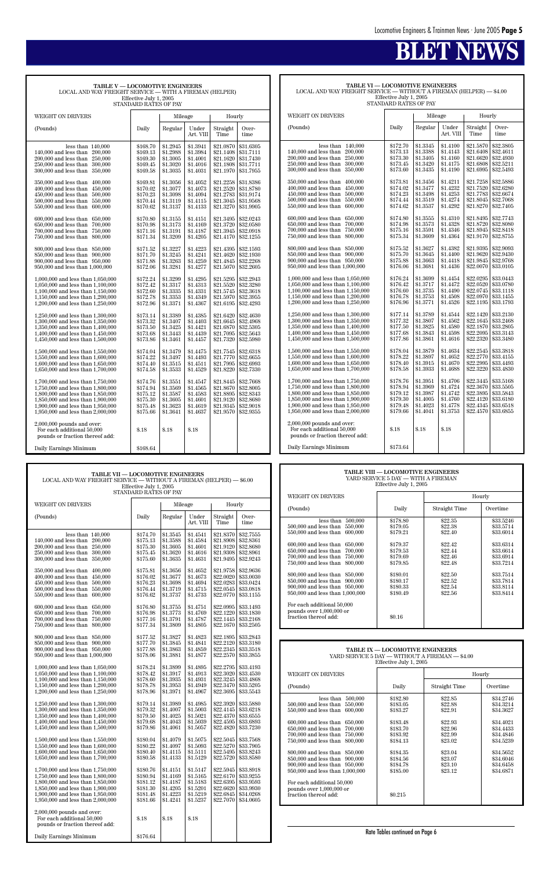| <b>TABLE VI — LOCOMOTIVE ENGINEERS</b><br>LOCAL AND WAY FREIGHT SERVICE — WITHOUT A FIREMAN (HELPER) — \$4.00 |
|---------------------------------------------------------------------------------------------------------------|
| Effective July 1, 2005                                                                                        |
| STANDARD RATES OF PAY                                                                                         |
|                                                                                                               |

| WEIGHT ON DRIVERS                                                                                                                                                                                                          |                                                                      | Mileage                                                              |                                                                      | Hourly                                                                     |                                                                            |
|----------------------------------------------------------------------------------------------------------------------------------------------------------------------------------------------------------------------------|----------------------------------------------------------------------|----------------------------------------------------------------------|----------------------------------------------------------------------|----------------------------------------------------------------------------|----------------------------------------------------------------------------|
| (Pounds)                                                                                                                                                                                                                   | Daily                                                                | Regular                                                              | Under<br>Art. VIII                                                   | Straight<br>Time                                                           | Over-<br>time                                                              |
| less than<br>140,000<br>200,000<br>140,000 and less than<br>200,000 and less than<br>250,000<br>250,000 and less than<br>300,000<br>300,000 and less than<br>350,000                                                       | \$172.70<br>\$173.13<br>\$173.30<br>\$173.45<br>\$173.60             | \$1.3345<br>\$1.3388<br>\$1.3405<br>\$1.3420<br>\$1.3435             | \$1.4100<br>\$1.4143<br>\$1.4160<br>\$1.4175<br>\$1.4190             | \$21.5870<br>\$21.6408<br>\$21.6620<br>\$21.6808<br>\$21.6995              | \$32.3805<br>\$32.4611<br>\$32.4930<br>\$32.5211<br>\$32.5493              |
| 350,000 and less than<br>400,000<br>400,000 and less than<br>450,000<br>450,000 and less than<br>500,000<br>500,000 and less than<br>550,000<br>550,000 and less than<br>600,000                                           | \$173.81<br>\$174.02<br>\$174.23<br>\$174.44<br>\$174.62             | \$1.3456<br>\$1.3477<br>\$1.3498<br>\$1.3519<br>\$1.3537             | \$1.4211<br>\$1.4232<br>\$1.4253<br>\$1.4274<br>\$1.4292             | \$21.7258<br>\$21.7520<br>\$21.7783<br>\$21.8045<br>\$21.8270              | \$32.5886<br>\$32.6280<br>\$32.6674<br>\$32.7068<br>\$32.7405              |
| 600,000 and less than<br>650,000<br>650,000 and less than<br>700,000<br>700,000 and less than<br>750,000<br>750,000 and less than<br>800,000                                                                               | \$174.80<br>\$174.98<br>\$175.16<br>\$175.34                         | \$1.3555<br>\$1.3573<br>\$1.3591<br>\$1.3609                         | \$1.4310<br>\$1.4328<br>\$1.4346<br>\$1.4364                         | \$21.8495<br>\$21.8720<br>\$21.8945<br>\$21.9170                           | \$32.7743<br>\$32.8080<br>\$32.8418<br>\$32.8755                           |
| 800,000 and less than<br>850,000<br>850,000 and less than<br>900,000<br>900,000 and less than 950,000<br>950,000 and less than 1,000,000                                                                                   | \$175.52<br>\$175.70<br>\$175.88<br>\$176.06                         | \$1.3627<br>\$1.3645<br>\$1.3663<br>\$1.3681                         | \$1.4382<br>\$1.4400<br>\$1.4418<br>\$1.4436                         | \$21.9395<br>\$21.9620<br>\$21.9845<br>\$22,0070                           | \$32.9093<br>\$32.9430<br>\$32.9768<br>\$33.0105                           |
| 1,000,000 and less than 1,050,000<br>1,050,000 and less than 1,100,000<br>1,100,000 and less than 1,150,000<br>1,150,000 and less than 1,200,000<br>1,200,000 and less than 1,250,000                                      | \$176.24<br>\$176.42<br>\$176.60<br>\$176.78<br>\$176.96             | \$1.3699<br>\$1.3717<br>\$1.3735<br>\$1.3753<br>\$1.3771             | \$1.4454<br>\$1.4472<br>\$1.4490<br>\$1.4508<br>\$1.4526             | \$22.0295<br>\$22.0520<br>\$22.0745<br>\$22.0970<br>\$22.1195              | \$33.0443<br>\$33.0780<br>\$33.1118<br>\$33.1455<br>\$33.1793              |
| 1,250,000 and less than 1,300,000<br>1,300,000 and less than 1,350,000<br>1,350,000 and less than 1,400,000<br>1,400,000 and less than 1,450,000<br>1,450,000 and less than 1,500,000                                      | \$177.14<br>\$177.32<br>\$177.50<br>\$177.68<br>\$177.86             | \$1.3789<br>\$1.3807<br>\$1.3825<br>\$1.3843<br>\$1.3861             | \$1.4544<br>\$1.4562<br>\$1.4580<br>\$1.4598<br>\$1.4616             | \$22.1420<br>\$22.1645<br>\$22.1870<br>\$22,2095<br>\$22.2320              | \$33.2130<br>\$33.2468<br>\$33.2805<br>\$33.3143<br>\$33,3480              |
| 1,500,000 and less than 1,550,000<br>1,550,000 and less than 1,600,000<br>1,600,000 and less than 1,650,000<br>1,650,000 and less than 1,700,000                                                                           | \$178.04<br>\$178.22<br>\$178.40<br>\$178.58                         | \$1.3879<br>\$1.3897<br>\$1.3915<br>\$1.3933                         | \$1.4634<br>\$1.4652<br>\$1.4670<br>\$1.4688                         | \$22.2545<br>\$22,2770<br>\$22,2995<br>\$22.3220                           | \$33.3818<br>\$33.4155<br>\$33.4493<br>\$33.4830                           |
| 1,700,000 and less than 1,750,000<br>1,750,000 and less than 1,800,000<br>1,800,000 and less than 1,850,000<br>1,850,000 and less than 1,900,000<br>1,900,000 and less than 1,950,000<br>1,950,000 and less than 2,000,000 | \$178.76<br>\$178.94<br>\$179.12<br>\$179.30<br>\$179.48<br>\$179.66 | \$1.3951<br>\$1.3969<br>\$1.3987<br>\$1.4005<br>\$1.4023<br>\$1.4041 | \$1.4706<br>\$1.4724<br>\$1.4742<br>\$1.4760<br>\$1.4778<br>\$1.3753 | \$22.3445<br>\$22.3670<br>\$22,3895<br>\$22.4120<br>\$22.4345<br>\$22.4570 | \$33.5168<br>\$33.5505<br>\$33.5843<br>\$33.6180<br>\$33.6518<br>\$33.6855 |
| $2,000,000$ pounds and over:<br>For each additional 50,000<br>pounds or fraction thereof add:                                                                                                                              | \$.18                                                                | \$.18                                                                | \$.18                                                                |                                                                            |                                                                            |
| Daily Earnings Minimum                                                                                                                                                                                                     | \$173.64                                                             |                                                                      |                                                                      |                                                                            |                                                                            |

| <b>TABLE VII - LOCOMOTIVE ENGINEERS</b><br>LOCAL AND WAY FREIGHT SERVICE — WITHOUT A FIREMAN (HELPER) — \$6.00<br>Effective July 1, 2005<br>STANDARD RATES OF PAY                     |                                                          |                                                          |                                                          |                                     |                                                                                                                              |                                                                                                              | <b>TABLE VIII - LOCOMOTIVE ENGINEERS</b><br>YARD SERVICE 5 DAY - WITH A FIREMAN<br>Effective July 1, 2005                                                         |                                                          |                                                     |                                                               |
|---------------------------------------------------------------------------------------------------------------------------------------------------------------------------------------|----------------------------------------------------------|----------------------------------------------------------|----------------------------------------------------------|-------------------------------------|------------------------------------------------------------------------------------------------------------------------------|--------------------------------------------------------------------------------------------------------------|-------------------------------------------------------------------------------------------------------------------------------------------------------------------|----------------------------------------------------------|-----------------------------------------------------|---------------------------------------------------------------|
| WEIGHT ON DRIVERS                                                                                                                                                                     |                                                          | Mileage                                                  |                                                          | Hourly                              |                                                                                                                              |                                                                                                              | WEIGHT ON DRIVERS                                                                                                                                                 |                                                          |                                                     | Hourly                                                        |
|                                                                                                                                                                                       |                                                          |                                                          |                                                          |                                     |                                                                                                                              |                                                                                                              | (Pounds)                                                                                                                                                          | Daily                                                    | Straight Time                                       | Overtime                                                      |
| (Pounds)                                                                                                                                                                              | Daily                                                    | Regular                                                  | Under<br>Art. VIII                                       | Straight<br>Time                    | Over-<br>time                                                                                                                |                                                                                                              | less than $500,000$<br>500,000 and less than 550,000                                                                                                              | \$178.80<br>\$179.05                                     | \$22.35<br>\$22.38                                  | \$33.5246<br>\$33.5714                                        |
| less than $140,000$<br>140,000 and less than 200,000<br>200,000 and less than 250,000<br>250,000 and less than 300,000<br>300,000 and less than 350,000                               | \$174.70<br>\$175.13<br>\$175.30<br>\$175.45<br>\$175.60 | \$1.3545<br>\$1.3588<br>\$1.3605<br>\$1.3620<br>\$1.3635 | \$1.4541<br>\$1.4584<br>\$1.4601<br>\$1.4616<br>\$1.4631 | \$21.8370<br>\$21.9120              | \$32.7555<br>\$21.8908 \$32.8361<br>\$32.8680<br>\$21.9308 \$32.8961<br>\$21.9495 \$32.9243                                  |                                                                                                              | 550,000 and less than 600,000<br>600,000 and less than 650,000<br>650,000 and less than 700,000<br>700,000 and less than 750,000<br>750,000 and less than 800,000 | \$179.21<br>\$179.37<br>\$179.53<br>\$179.69<br>\$179.85 | \$22.40<br>\$22.42<br>\$22.44<br>\$22.46<br>\$22.48 | \$33.6014<br>\$33.6314<br>\$33.6614<br>\$33.6914<br>\$33.7214 |
| 350,000 and less than 400,000<br>400,000 and less than 450,000<br>450,000 and less than 500,000<br>500,000 and less than 550,000<br>550,000 and less than 600,000                     | \$175.81<br>\$176.02<br>\$176.23<br>\$176.44<br>\$176.62 | \$1.3656<br>\$1.3677<br>\$1.3698<br>\$1.3719<br>\$1.3737 | \$1.4652<br>\$1.4673<br>\$1.4694<br>\$1.4715<br>\$1.4733 | \$22.0020                           | \$21.9758 \$32.9636<br>\$33,0030<br>\$22.0283 \$33.0424<br>\$22.0545 \$33.0818<br>\$22.0770 \$33.1155                        |                                                                                                              | 800,000 and less than 850,000<br>850,000 and less than 900,000<br>900,000 and less than 950,000<br>950,000 and less than 1,000,000                                | \$180.01<br>\$180.17<br>\$180.33<br>\$180.49             | \$22.50<br>\$22.52<br>\$22.54<br>\$22.56            | \$33.7514<br>\$33.7814<br>\$33.8114<br>\$33.8414              |
| 600,000 and less than 650,000<br>650,000 and less than 700,000<br>700,000 and less than 750,000<br>750,000 and less than 800,000                                                      | \$176.80<br>\$176.98<br>\$177.16<br>\$177.34             | \$1.3755<br>\$1.3773<br>\$1.3791<br>\$1.3809             | \$1.4751<br>\$1.4769<br>\$1.4787<br>\$1.4805             | \$22.0995<br>\$22.1220<br>\$22.1445 | \$33.1493<br>\$33.1830<br>\$33.2168<br>\$22.1670 \$33.2505                                                                   |                                                                                                              | For each additional 50,000<br>pounds over 1,000,000 or<br>fraction thereof add:                                                                                   | \$0.16                                                   |                                                     |                                                               |
| 800,000 and less than 850,000                                                                                                                                                         | \$177.52                                                 | \$1.3827                                                 | \$1.4823                                                 |                                     | \$22.1895 \$33.2843                                                                                                          |                                                                                                              |                                                                                                                                                                   |                                                          |                                                     |                                                               |
| 850,000 and less than 900,000<br>900,000 and less than 950,000<br>950,000 and less than 1,000,000                                                                                     | \$177.70<br>\$177.88<br>\$178.06                         | \$1.3845<br>\$1.3863<br>\$1.3881                         | \$1.4841<br>\$1.4859<br>\$1.4877                         |                                     | \$22.2120 \$33.3180<br>\$22.2345 \$33.3518<br>\$22.2570 \$33.3855                                                            | TABLE IX - LOCOMOTIVE ENGINEERS<br>YARD SERVICE 5 DAY - WITHOUT A FIREMAN - \$4.00<br>Effective July 1, 2005 |                                                                                                                                                                   |                                                          |                                                     |                                                               |
| 1,000,000 and less than 1,050,000<br>1,050,000 and less than 1,100,000                                                                                                                | \$178.24<br>\$178.42                                     | \$1.3899<br>\$1.3917                                     | \$1.4895<br>\$1.4913                                     | \$22.2795                           | \$33.4193<br>\$22.3020 \$33.4530                                                                                             |                                                                                                              | WEIGHT ON DRIVERS                                                                                                                                                 |                                                          |                                                     | Hourly                                                        |
| 1,100,000 and less than 1,150,000<br>1,150,000 and less than 1,200,000<br>1,200,000 and less than 1,250,000                                                                           | \$178.60<br>\$178.78<br>\$178.96                         | \$1.3935<br>\$1.3953<br>\$1.3971                         | \$1.4931<br>\$1.4949<br>\$1.4967                         |                                     | \$22.3245 \$33.4868<br>\$22.3470 \$33.5205<br>\$22.3695 \$33.5543                                                            |                                                                                                              | (Pounds)                                                                                                                                                          | Daily                                                    | Straight Time                                       | Overtime                                                      |
| 1,250,000 and less than 1,300,000<br>1,300,000 and less than 1,350,000<br>1,350,000 and less than 1,400,000<br>1,400,000 and less than 1,450,000<br>1,450,000 and less than 1,500,000 | \$179.14<br>\$179.32<br>\$179.50<br>\$179.68<br>\$179.86 | \$1.3989<br>\$1.4007<br>\$1.4025<br>\$1.4043<br>\$1.4061 | \$1.4985<br>\$1.5003<br>\$1.5021<br>\$1.5039<br>\$1.5057 | \$22.4595                           | \$22.3920 \$33.5880<br>\$22.4145 \$33.6218<br>\$22.4370 \$33.6555<br>\$33.6893<br>\$22.4820 \$33.7230                        |                                                                                                              | less than $500,000$<br>500,000 and less than 550,000<br>550,000 and less than 600,000<br>600,000 and less than 650,000<br>650,000 and less than 700,000           | \$182.80<br>\$183.05<br>\$183.27<br>\$183.48<br>\$183.70 | \$22.85<br>\$22.88<br>\$22.91<br>\$22.93<br>\$22.96 | \$34.2746<br>\$34.3214<br>\$34.3627<br>\$34.4021<br>\$34.4433 |
| 1,500,000 and less than 1,550,000<br>1,550,000 and less than 1,600,000                                                                                                                | \$180.04<br>\$180.22                                     | \$1.4079<br>\$1.4097                                     | \$1.5075<br>\$1.5093                                     | \$22.5045                           | \$33.7568<br>\$22.5270 \$33.7905                                                                                             |                                                                                                              | 700,000 and less than 750,000<br>750,000 and less than 800,000                                                                                                    | \$183.92<br>\$184.13                                     | \$22.99<br>\$23.02                                  | \$34.4846<br>\$34.5239                                        |
| 1,600,000 and less than 1,650,000<br>1,650,000 and less than 1,700,000<br>1,700,000 and less than 1,750,000                                                                           | \$180.40<br>\$180.58<br>\$180.76                         | \$1.4115<br>\$1.4133<br>\$1.4151                         | \$1.5111<br>\$1.5129<br>\$1.5147                         |                                     | \$22.5495 \$33.8243<br>\$22.5720 \$33.8580<br>\$22.5945 \$33.8918                                                            |                                                                                                              | 800,000 and less than 850,000<br>850,000 and less than 900,000<br>900,000 and less than 950,000<br>950,000 and less than 1,000,000                                | \$184.35<br>\$184.56<br>\$184.78<br>\$185.00             | \$23.04<br>\$23.07<br>\$23.10<br>\$23.12            | \$34.5652<br>\$34.6046<br>\$34.6458<br>\$34.6871              |
| 1,750,000 and less than 1,800,000<br>1,800,000 and less than 1,850,000<br>1,850,000 and less than 1,900,000<br>1,900,000 and less than 1,950,000<br>1.950,000 and less than 2,000,000 | \$180.94<br>\$181.12<br>\$181.30<br>\$181.48<br>\$181.66 | \$1.4169<br>\$1.4187<br>\$1.4205<br>\$1.4223<br>\$1.4241 | \$1.5165<br>\$1.5183<br>\$1.5201<br>\$1.5219<br>\$1.5237 |                                     | \$22.6170 \$33.9255<br>$$22.6395 \;   \; $33.9593$<br>\$22.6620 \$33.9930<br>\$22.6845 \$34.0268<br>$$22.7070 \mid $34.0605$ |                                                                                                              | For each additional 50,000<br>pounds over 1,000,000 or<br>fraction thereof add:                                                                                   | \$0.215                                                  |                                                     |                                                               |
| $2,000,000$ pounds and over:<br>For each additional 50,000<br>pounds or fraction thereof add:                                                                                         | \$.18                                                    | \$.18                                                    | \$.18                                                    |                                     |                                                                                                                              |                                                                                                              |                                                                                                                                                                   |                                                          |                                                     |                                                               |
| Daily Earnings Minimum                                                                                                                                                                | \$176.64                                                 |                                                          |                                                          |                                     |                                                                                                                              |                                                                                                              |                                                                                                                                                                   | Rate Tables continued on Page 6                          |                                                     |                                                               |

| TABLE V-LOCOMOTIVE ENGINEERS<br>LOCAL AND WAY FREIGHT SERVICE — WITH A FIREMAN (HELPER)<br>Effective July 1, 2005<br>STANDARD RATES OF PAY                                                                                                                                                                                                                                                                                                                                                                                                                                                                                                                                                                                                                                                                                                                                     |                                                                                                                                                                                                                                                                                              |                                                                                                                                                                                                                                                                                              |                                                                                                                                                                                                                                                                                              |                                                                                                                                                                                                                                                                                                                      |                                                                                                                                                                                                                                                                                                                      |  |  |  |  |  |  |
|--------------------------------------------------------------------------------------------------------------------------------------------------------------------------------------------------------------------------------------------------------------------------------------------------------------------------------------------------------------------------------------------------------------------------------------------------------------------------------------------------------------------------------------------------------------------------------------------------------------------------------------------------------------------------------------------------------------------------------------------------------------------------------------------------------------------------------------------------------------------------------|----------------------------------------------------------------------------------------------------------------------------------------------------------------------------------------------------------------------------------------------------------------------------------------------|----------------------------------------------------------------------------------------------------------------------------------------------------------------------------------------------------------------------------------------------------------------------------------------------|----------------------------------------------------------------------------------------------------------------------------------------------------------------------------------------------------------------------------------------------------------------------------------------------|----------------------------------------------------------------------------------------------------------------------------------------------------------------------------------------------------------------------------------------------------------------------------------------------------------------------|----------------------------------------------------------------------------------------------------------------------------------------------------------------------------------------------------------------------------------------------------------------------------------------------------------------------|--|--|--|--|--|--|
| <b>WEIGHT ON DRIVERS</b>                                                                                                                                                                                                                                                                                                                                                                                                                                                                                                                                                                                                                                                                                                                                                                                                                                                       | Mileage                                                                                                                                                                                                                                                                                      |                                                                                                                                                                                                                                                                                              |                                                                                                                                                                                                                                                                                              | Hourly                                                                                                                                                                                                                                                                                                               |                                                                                                                                                                                                                                                                                                                      |  |  |  |  |  |  |
| (Pounds)                                                                                                                                                                                                                                                                                                                                                                                                                                                                                                                                                                                                                                                                                                                                                                                                                                                                       | Daily                                                                                                                                                                                                                                                                                        | Regular                                                                                                                                                                                                                                                                                      | Under<br>Art. VIII                                                                                                                                                                                                                                                                           | Straight<br>Time                                                                                                                                                                                                                                                                                                     | Over-<br>time                                                                                                                                                                                                                                                                                                        |  |  |  |  |  |  |
| less than $140,000$<br>140,000 and less than<br>200,000<br>200,000 and less than 250,000<br>250,000 and less than<br>300,000<br>300,000 and less than<br>350,000<br>350,000 and less than<br>400.000<br>400,000 and less than<br>450,000<br>450,000 and less than<br>500,000<br>500,000 and less than<br>550,000<br>550,000 and less than<br>600,000<br>600,000 and less than<br>650,000<br>650,000 and less than<br>700,000<br>700,000 and less than<br>750,000<br>750,000 and less than<br>800,000<br>800,000 and less than<br>850,000<br>850,000 and less than<br>900,000<br>900,000 and less than 950,000<br>950,000 and less than 1,000,000<br>1,000,000 and less than 1,050,000<br>1,050,000 and less than 1,100,000<br>1,100,000 and less than 1,150,000<br>1,150,000 and less than 1,200,000<br>1,200,000 and less than 1,250,000<br>1,250,000 and less than 1,300,000 | \$168.70<br>\$169.13<br>\$169.30<br>\$169.45<br>\$169.58<br>\$169.81<br>\$170.02<br>\$170.23<br>\$170.44<br>\$170.62<br>\$170.80<br>\$170.98<br>\$171.16<br>\$171.34<br>\$171.52<br>\$171.70<br>\$171.88<br>\$172.06<br>\$172.24<br>\$172.42<br>\$172.60<br>\$172.78<br>\$172.96<br>\$173.14 | \$1.2945<br>\$1.2988<br>\$1.3005<br>\$1.3020<br>\$1.3035<br>\$1.3056<br>\$1.3077<br>\$1.3098<br>\$1.3119<br>\$1.3137<br>\$1.3155<br>\$1.3173<br>\$1.3191<br>\$1.3209<br>\$1.3227<br>\$1.3245<br>\$1.3263<br>\$1.3281<br>\$1.3299<br>\$1.3317<br>\$1.3335<br>\$1.3353<br>\$1.3371<br>\$1.3389 | \$1.3941<br>\$1.3984<br>\$1.4001<br>\$1.4016<br>\$1.4031<br>\$1.4052<br>\$1.4073<br>\$1.4094<br>\$1.4115<br>\$1.4133<br>\$1.4151<br>\$1.4169<br>\$1.4187<br>\$1.4205<br>\$1.4223<br>\$1.4241<br>\$1.4259<br>\$1.4277<br>\$1.4295<br>\$1.4313<br>\$1.4331<br>\$1.4349<br>\$1.4367<br>\$1.4385 | \$21.0870<br>\$21.1408<br>\$21.1620<br>\$21.1808<br>\$21.1970<br>\$21.2258<br>\$21.2520<br>\$21.2783<br>\$21.3045<br>\$21.3270<br>\$21.3495<br>\$21.3720<br>\$21.3945<br>\$21.4170<br>\$21.4395<br>\$21.4620<br>\$21.4845<br>\$21.5070<br>\$21.5295<br>\$21.5520<br>\$21.5745<br>\$21.5970<br>\$21.6195<br>\$21.6420 | \$31.6305<br>\$31.7111<br>\$31.7430<br>\$31.7711<br>\$31.7955<br>\$31.8386<br>\$31.8780<br>\$31.9174<br>\$31.9568<br>\$31.9905<br>\$32.0243<br>\$32.0580<br>\$32.0918<br>\$32.1255<br>\$32.1593<br>\$32.1930<br>\$32,2268<br>\$32.2605<br>\$32.2943<br>\$32,3280<br>\$32.3618<br>\$32.3955<br>\$32.4293<br>\$32.4630 |  |  |  |  |  |  |
| 1,300,000 and less than 1,350,000<br>1,350,000 and less than 1,400,000<br>1,400,000 and less than 1,450,000<br>1,450,000 and less than 1,500,000                                                                                                                                                                                                                                                                                                                                                                                                                                                                                                                                                                                                                                                                                                                               | \$173.32<br>\$173.50<br>\$173.68<br>\$173.86                                                                                                                                                                                                                                                 | \$1.3407<br>\$1.3425<br>\$1.3443<br>\$1.3461                                                                                                                                                                                                                                                 | \$1.4403<br>\$1.4421<br>\$1.4439<br>\$1.4457                                                                                                                                                                                                                                                 | \$21.6645<br>\$21.6870<br>\$21.7095<br>\$21.7320                                                                                                                                                                                                                                                                     | \$32.4968<br>\$32.5305<br>\$32.5643<br>\$32.5980                                                                                                                                                                                                                                                                     |  |  |  |  |  |  |
| 1,500,000 and less than 1,550,000<br>1,550,000 and less than 1,600,000<br>1,600,000 and less than 1,650,000<br>1,650,000 and less than 1,700,000                                                                                                                                                                                                                                                                                                                                                                                                                                                                                                                                                                                                                                                                                                                               | \$174.04<br>\$174.22<br>\$174.40<br>\$174.58                                                                                                                                                                                                                                                 | \$1.3479<br>\$1.3497<br>\$1.3515<br>\$1.3533                                                                                                                                                                                                                                                 | \$1.4475<br>\$1.4493<br>\$1.4511<br>\$1.4529                                                                                                                                                                                                                                                 | \$21.7545<br>\$21.7770<br>\$21.7995<br>\$21.8220                                                                                                                                                                                                                                                                     | \$32.6318<br>\$32.6655<br>\$32.6993<br>\$32,7330                                                                                                                                                                                                                                                                     |  |  |  |  |  |  |
| 1,700,000 and less than 1,750,000<br>1,750,000 and less than 1,800,000<br>1,800,000 and less than 1,850,000<br>1,850,000 and less than 1,900,000<br>1,900,000 and less than 1,950,000<br>1,950,000 and less than 2,000,000<br>$2,000,000$ pounds and over:                                                                                                                                                                                                                                                                                                                                                                                                                                                                                                                                                                                                                     | \$174.76<br>\$174.94<br>\$175.12<br>\$175.30<br>\$175.48<br>\$175.66                                                                                                                                                                                                                         | \$1.3551<br>\$1.3569<br>\$1.3587<br>\$1.3605<br>\$1.3623<br>\$1.3641                                                                                                                                                                                                                         | \$1.4547<br>\$1.4565<br>\$1.4583<br>\$1.4601<br>\$1.4619<br>\$1.4637                                                                                                                                                                                                                         | \$21.8445<br>\$21.8670<br>\$21.8895<br>\$21.9120<br>\$21.9345<br>\$21.9570                                                                                                                                                                                                                                           | \$32.7668<br>\$32.8005<br>\$32.8343<br>\$32.8680<br>\$32.9018<br>\$32.9355                                                                                                                                                                                                                                           |  |  |  |  |  |  |
| For each additional 50,000<br>pounds or fraction thereof add:<br>Daily Earnings Minimum                                                                                                                                                                                                                                                                                                                                                                                                                                                                                                                                                                                                                                                                                                                                                                                        | $\$.18$<br>\$168.64                                                                                                                                                                                                                                                                          | $\$.18$                                                                                                                                                                                                                                                                                      | \$.18                                                                                                                                                                                                                                                                                        |                                                                                                                                                                                                                                                                                                                      |                                                                                                                                                                                                                                                                                                                      |  |  |  |  |  |  |

| TABLE VIII — LOCOMOTIVE ENGINEERS<br>YARD SERVICE 5 DAY — WITH A FIREMAN<br>Effective July 1, 2005                                                                                                                                                                                                                                                                                                                                                                       |                                                                                                                                            |                                                                                                                       |                                                                                                                                             |  |  |  |  |  |  |  |
|--------------------------------------------------------------------------------------------------------------------------------------------------------------------------------------------------------------------------------------------------------------------------------------------------------------------------------------------------------------------------------------------------------------------------------------------------------------------------|--------------------------------------------------------------------------------------------------------------------------------------------|-----------------------------------------------------------------------------------------------------------------------|---------------------------------------------------------------------------------------------------------------------------------------------|--|--|--|--|--|--|--|
| WEIGHT ON DRIVERS                                                                                                                                                                                                                                                                                                                                                                                                                                                        |                                                                                                                                            |                                                                                                                       | Hourly                                                                                                                                      |  |  |  |  |  |  |  |
| (Pounds)                                                                                                                                                                                                                                                                                                                                                                                                                                                                 | Daily                                                                                                                                      | Straight Time                                                                                                         | Overtime                                                                                                                                    |  |  |  |  |  |  |  |
| less than<br>500,000<br>500,000 and less than<br>550,000<br>550,000 and less than<br>600,000<br>600,000 and less than<br>650,000<br>650,000 and less than<br>700,000<br>700,000 and less than<br>750,000<br>800,000<br>750,000 and less than<br>800,000 and less than 850,000<br>850,000 and less than<br>900,000<br>900,000 and less than 950,000<br>950,000 and less than 1,000,000<br>For each additional 50,000<br>pounds over 1,000,000 or<br>fraction thereof add: | \$178.80<br>\$179.05<br>\$179.21<br>\$179.37<br>\$179.53<br>\$179.69<br>\$179.85<br>\$180.01<br>\$180.17<br>\$180.33<br>\$180.49<br>\$0.16 | \$22.35<br>\$22.38<br>\$22.40<br>\$22.42<br>\$22.44<br>\$22.46<br>\$22.48<br>\$22.50<br>\$22.52<br>\$22.54<br>\$22.56 | \$33,5246<br>\$33.5714<br>\$33.6014<br>\$33.6314<br>\$33.6614<br>\$33.6914<br>\$33.7214<br>\$33.7514<br>\$33.7814<br>\$33.8114<br>\$33.8414 |  |  |  |  |  |  |  |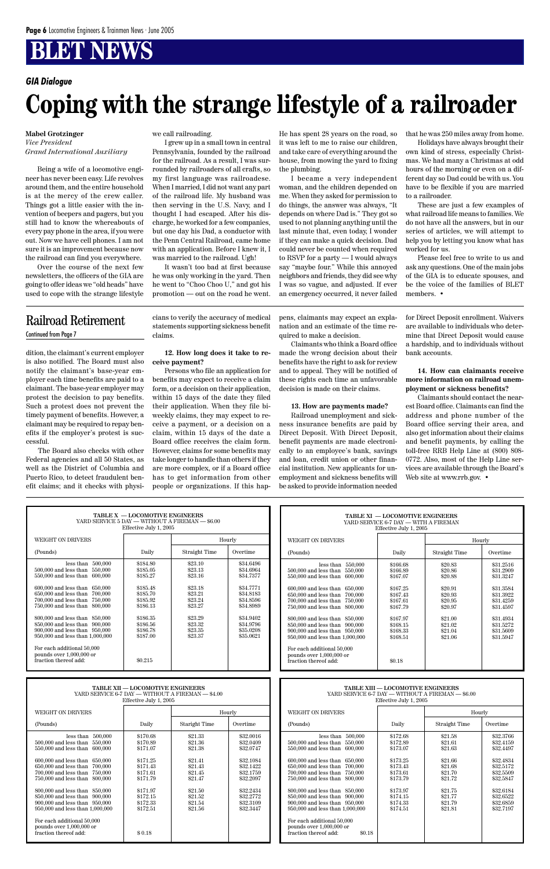| TABLE X - LOCOMOTIVE ENGINEERS                                                  |                                                                   |                                                   |           | TABLE XI - LOCOMOTIVE ENGINEERS                                                           |                                                                    |                                                   |           |  |
|---------------------------------------------------------------------------------|-------------------------------------------------------------------|---------------------------------------------------|-----------|-------------------------------------------------------------------------------------------|--------------------------------------------------------------------|---------------------------------------------------|-----------|--|
| YARD SERVICE 5 DAY - WITHOUT A FIREMAN - \$6.00                                 |                                                                   |                                                   |           | YARD SERVICE 6-7 DAY - WITH A FIREMAN                                                     |                                                                    |                                                   |           |  |
| Effective July 1, 2005                                                          |                                                                   |                                                   |           | Effective July 1, 2005                                                                    |                                                                    |                                                   |           |  |
| WEIGHT ON DRIVERS                                                               |                                                                   |                                                   | Hourly    | WEIGHT ON DRIVERS                                                                         |                                                                    | Hourly                                            |           |  |
| (Pounds)                                                                        | Daily                                                             | Straight Time                                     | Overtime  | (Pounds)                                                                                  | Daily                                                              | Straight Time                                     | Overtime  |  |
| less than $500,000$                                                             | \$184.80                                                          | \$23.10                                           | \$34.6496 | less than $550,000$                                                                       | \$166.68                                                           | \$20.83                                           | \$31.2516 |  |
| 500,000 and less than 550,000                                                   | \$185.05                                                          | \$23.13                                           | \$34.6964 | 500,000 and less than 550,000                                                             | \$166.89                                                           | \$20.86                                           | \$31.2909 |  |
| $550,\!000$ and less than $\,$ $600,\!000$                                      | \$185.27                                                          | \$23.16                                           | \$34.7377 | 550,000 and less than 600,000                                                             | \$167.07                                                           | \$20.88                                           | \$31.3247 |  |
| 600,000 and less than 650,000                                                   | \$185.48                                                          | \$23.18                                           | \$34.7771 | 600,000 and less than 650,000                                                             | \$167.25                                                           | \$20.91                                           | \$31.3584 |  |
| 650,000 and less than 700,000                                                   | \$185.70                                                          | \$23.21                                           | \$34.8183 | 650,000 and less than 700,000                                                             | \$167.43                                                           | \$20.93                                           | \$31.3922 |  |
| 700,000 and less than 750,000                                                   | \$185.92                                                          | \$23.24                                           | \$34.8596 | 700,000 and less than 750,000                                                             | \$167.61                                                           | \$20.95                                           | \$31.4259 |  |
| 750,000 and less than 800,000                                                   | \$186.13                                                          | \$23.27                                           | \$34.8989 | 750,000 and less than 800,000                                                             | \$167.79                                                           | \$20.97                                           | \$31.4597 |  |
| 800,000 and less than 850,000                                                   | \$186.35                                                          | \$23.29                                           | \$34.9402 | 800,000 and less than 850,000                                                             | \$167.97                                                           | \$21.00                                           | \$31.4934 |  |
| 850,000 and less than 900,000                                                   | \$186.56                                                          | \$23.32                                           | \$34.9796 | 850,000 and less than 900,000                                                             | \$168.15                                                           | \$21.02                                           | \$31.5272 |  |
| 900,000 and less than 950,000                                                   | \$186.78                                                          | \$23.35                                           | \$35,0208 | 900,000 and less than 950,000                                                             | \$168.33                                                           | \$21.04                                           | \$31.5609 |  |
| 950,000 and less than 1,000,000                                                 | \$187.00                                                          | \$23.37                                           | \$35.0621 | 950,000 and less than 1,000,000                                                           | \$168.51                                                           | \$21.06                                           | \$31.5947 |  |
| For each additional 50,000<br>pounds over 1,000,000 or<br>fraction thereof add: | \$0.215                                                           |                                                   |           | For each additional 50,000<br>pounds over 1,000,000 or<br>fraction thereof add:           | \$0.18                                                             |                                                   |           |  |
|                                                                                 | <b>TABLE XII - LOCOMOTIVE ENGINEERS</b><br>Effective July 1, 2005 | YARD SERVICE 6-7 DAY - WITHOUT A FIREMAN - \$4.00 |           |                                                                                           | <b>TABLE XIII - LOCOMOTIVE ENGINEERS</b><br>Effective July 1, 2005 | YARD SERVICE 6-7 DAY - WITHOUT A FIREMAN - \$6.00 |           |  |
| <b>WEIGHT ON DRIVERS</b>                                                        |                                                                   |                                                   | Hourly    | WEIGHT ON DRIVERS                                                                         |                                                                    | Hourly                                            |           |  |
| (Pounds)                                                                        | Daily                                                             | Staright Time                                     | Overtime  | (Pounds)                                                                                  | Daily                                                              | Straight Time                                     | Overtime  |  |
| less than 500,000                                                               | \$170.68                                                          | \$21.33                                           | \$32,0016 | less than 500.000                                                                         | \$172.68                                                           | \$21.58                                           | \$32.3766 |  |
| 500,000 and less than 550,000                                                   | \$170.89                                                          | \$21.36                                           | \$32,0409 | 500,000 and less than 550,000                                                             | \$172.89                                                           | \$21.61                                           | \$32.4159 |  |
| 550,000 and less than 600,000                                                   | \$171.07                                                          | \$21.38                                           | \$32.0747 | 550,000 and less than 600,000                                                             | \$173.07                                                           | \$21.63                                           | \$32.4497 |  |
| 600,000 and less than 650,000                                                   | \$171.25                                                          | \$21.41                                           | \$32.1084 | 600,000 and less than 650,000                                                             | \$173.25                                                           | \$21.66                                           | \$32.4834 |  |
| 650,000 and less than 700,000                                                   | \$171.43                                                          | \$21.43                                           | \$32.1422 | 650,000 and less than 700,000                                                             | \$173.43                                                           | \$21.68                                           | \$32.5172 |  |
| 700,000 and less than 750,000                                                   | \$171.61                                                          | \$21.45                                           | \$32.1759 | 700,000 and less than 750,000                                                             | \$173.61                                                           | \$21.70                                           | \$32,5509 |  |
| 750,000 and less than 800,000                                                   | \$171.79                                                          | \$21.47                                           | \$32,2097 | 750,000 and less than 800,000                                                             | \$173.79                                                           | \$21.72                                           | \$32.5847 |  |
| 800,000 and less than 850,000                                                   | \$171.97                                                          | \$21.50                                           | \$32,2434 | 800,000 and less than 850,000                                                             | \$173.97                                                           | \$21.75                                           | \$32.6184 |  |
| 850,000 and less than 900,000                                                   | \$172.15                                                          | \$21.52                                           | \$32,2772 | 850,000 and less than 900,000                                                             | \$174.15                                                           | \$21.77                                           | \$32.6522 |  |
| 900,000 and less than 950,000                                                   | \$172.33                                                          | \$21.54                                           | \$32.3109 | 900,000 and less than 950,000                                                             | \$174.33                                                           | \$21.79                                           | \$32.6859 |  |
| 950,000 and less than 1,000,000                                                 | \$172.51                                                          | \$21.56                                           | \$32.3447 | 950,000 and less than 1,000,000                                                           | \$174.51                                                           | \$21.81                                           | \$32.7197 |  |
| For each additional 50,000<br>pounds over 1,000,000 or<br>fraction thereof add: | \$0.18                                                            |                                                   |           | For each additional 50,000<br>pounds over 1,000,000 or<br>fraction thereof add:<br>\$0.18 |                                                                    |                                                   |           |  |

| TABLE X - LOCOMOTIVE ENGINEERS<br>YARD SERVICE 5 DAY - WITHOUT A FIREMAN - \$6.00<br>Effective July 1, 2005                        |                                                            |                                                   |                                                  | TABLE XI - LOCOMOTIVE ENGINEERS<br>YARD SERVICE 6-7 DAY - WITH A FIREMAN<br>Effective July 1, 2005                                                                                                                             |                                                  |  |  |
|------------------------------------------------------------------------------------------------------------------------------------|------------------------------------------------------------|---------------------------------------------------|--------------------------------------------------|--------------------------------------------------------------------------------------------------------------------------------------------------------------------------------------------------------------------------------|--------------------------------------------------|--|--|
| WEIGHT ON DRIVERS                                                                                                                  |                                                            |                                                   | Hourly                                           | WEIGHT ON DRIVERS<br>Hourly                                                                                                                                                                                                    |                                                  |  |  |
| (Pounds)                                                                                                                           | Daily                                                      | <b>Straight Time</b>                              | Overtime                                         | Daily<br>Straight Time<br>(Pounds)                                                                                                                                                                                             | Overtime                                         |  |  |
| less than $500,000$<br>500,000 and less than 550,000<br>550,000 and less than 600,000                                              | \$184.80<br>\$185.05<br>\$185.27                           | \$23.10<br>\$23.13<br>\$23.16                     | \$34.6496<br>\$34.6964<br>\$34.7377              | less than $550,000$<br>\$166.68<br>\$20.83<br>500,000 and less than 550,000<br>\$166.89<br>\$20.86<br>550,000 and less than 600,000<br>\$167.07<br>\$20.88                                                                     | \$31.2516<br>\$31.2909<br>\$31.3247              |  |  |
| 600,000 and less than 650,000<br>650,000 and less than 700,000<br>700,000 and less than 750,000<br>750,000 and less than 800,000   | \$185.48<br>\$185.70<br>\$185.92<br>\$186.13               | \$23.18<br>\$23.21<br>\$23.24<br>\$23.27          | \$34.7771<br>\$34.8183<br>\$34.8596<br>\$34.8989 | 600,000 and less than 650,000<br>\$167.25<br>\$20.91<br>650,000 and less than 700,000<br>\$167.43<br>\$20.93<br>700,000 and less than 750,000<br>\$167.61<br>\$20.95<br>750,000 and less than 800,000<br>\$167.79<br>\$20.97   | \$31.3584<br>\$31.3922<br>\$31.4259<br>\$31.4597 |  |  |
| 800,000 and less than 850,000<br>850,000 and less than 900,000<br>900,000 and less than 950,000<br>950,000 and less than 1,000,000 | \$186.35<br>\$186.56<br>\$186.78<br>\$187.00               | \$23.29<br>\$23.32<br>\$23.35<br>\$23.37          | \$34.9402<br>\$34.9796<br>\$35,0208<br>\$35.0621 | 800,000 and less than 850,000<br>\$167.97<br>\$21.00<br>850,000 and less than 900,000<br>\$168.15<br>\$21.02<br>900,000 and less than 950,000<br>\$168.33<br>\$21.04<br>950,000 and less than 1,000,000<br>\$168.51<br>\$21.06 | \$31.4934<br>\$31.5272<br>\$31.5609<br>\$31.5947 |  |  |
| For each additional 50,000<br>pounds over 1,000,000 or<br>fraction thereof add:                                                    | \$0.215                                                    |                                                   |                                                  | For each additional 50,000<br>pounds over 1,000,000 or<br>fraction thereof add:<br>\$0.18                                                                                                                                      |                                                  |  |  |
|                                                                                                                                    | TABLE XII - LOCOMOTIVE ENGINEERS<br>Effective July 1, 2005 | YARD SERVICE 6-7 DAY - WITHOUT A FIREMAN - \$4.00 |                                                  | TABLE XIII - LOCOMOTIVE ENGINEERS<br>YARD SERVICE 6-7 DAY - WITHOUT A FIREMAN - \$6.00<br>Effective July 1, 2005                                                                                                               |                                                  |  |  |
| WEIGHT ON DRIVERS                                                                                                                  |                                                            |                                                   | Hourly                                           | WEIGHT ON DRIVERS                                                                                                                                                                                                              | Hourly                                           |  |  |
| (Pounds)                                                                                                                           | Daily                                                      | Staright Time                                     | Overtime                                         | Daily<br>Straight Time<br>(Pounds)                                                                                                                                                                                             | Overtime                                         |  |  |
| less than $500,000$<br>500,000 and less than 550,000<br>550,000 and less than 600,000                                              | \$170.68<br>\$170.89<br>\$171.07                           | \$21.33<br>\$21.36<br>\$21.38                     | \$32.0016<br>\$32.0409<br>\$32.0747              | less than $500,000$<br>\$172.68<br>\$21.58<br>\$172.89<br>500,000 and less than 550,000<br>\$21.61<br>\$173.07<br>\$21.63<br>550,000 and less than 600,000                                                                     | \$32.3766<br>\$32.4159<br>\$32.4497              |  |  |
| 600,000 and less than 650,000<br>650,000 and less than 700,000<br>700,000 and less than 750,000<br>750,000 and less than 800,000   | \$171.25<br>\$171.43<br>\$171.61<br>\$171.79               | \$21.41<br>\$21.43<br>\$21.45<br>\$21.47          | \$32.1084<br>\$32.1422<br>\$32.1759<br>\$32.2097 | 600,000 and less than 650,000<br>\$173.25<br>\$21.66<br>\$173.43<br>650,000 and less than 700,000<br>\$21.68<br>\$173.61<br>700,000 and less than 750,000<br>\$21.70<br>750,000 and less than 800,000<br>\$173.79<br>\$21.72   | \$32.4834<br>\$32.5172<br>\$32.5509<br>\$32.5847 |  |  |
| 800,000 and less than 850,000<br>850,000 and less than 900,000<br>900,000 and less than 950,000<br>950,000 and less than 1,000,000 | \$171.97<br>\$172.15<br>\$172.33<br>\$172.51               | \$21.50<br>\$21.52<br>\$21.54<br>\$21.56          | \$32.2434<br>\$32.2772<br>\$32.3109<br>\$32.3447 | 800,000 and less than 850,000<br>\$173.97<br>\$21.75<br>850,000 and less than 900,000<br>\$174.15<br>\$21.77<br>\$174.33<br>\$21.79<br>900,000 and less than 950,000<br>\$174.51<br>950,000 and less than 1,000,000<br>\$21.81 | \$32.6184<br>\$32.6522<br>\$32.6859<br>\$32.7197 |  |  |
| For each additional 50,000<br>pounds over 1,000,000 or<br>fraction thereof add:                                                    | \$0.18                                                     |                                                   |                                                  | For each additional 50,000<br>pounds over 1,000,000 or<br>fraction thereof add:<br>\$0.18                                                                                                                                      |                                                  |  |  |

**Mabel Grotzinger** *Vice President Grand International Auxiliary*

Being a wife of a locomotive engineer has never been easy. Life revolves around them, and the entire household is at the mercy of the crew caller. Things got a little easier with the invention of beepers and pagers, but you still had to know the whereabouts of every pay phone in the area, if you were out. Now we have cell phones. I am not sure it is an improvement because now the railroad can find you everywhere.

Over the course of the next few newsletters, the officers of the GIA are going to offer ideas we "old heads" have used to cope with the strange lifestyle

we call railroading.

Claimants should contact the nearest Board office. Claimants can find the address and phone number of the Board office serving their area, and also get information about their claims and benefit payments, by calling the toll-free RRB Help Line at (800) 808- 0772. Also, most of the Help Line services are available through the Board's Web site at www.rrb.gov. •

I grew up in a small town in central Pennsylvania, founded by the railroad for the railroad. As a result, I was surrounded by railroaders of all crafts, so my first language was railroadese. When I married, I did not want any part of the railroad life. My husband was then serving in the U.S. Navy, and I thought I had escaped. After his discharge, he worked for a few companies, but one day his Dad, a conductor with the Penn Central Railroad, came home with an application. Before I knew it, I was married to the railroad. Ugh!

It wasn't too bad at first because he was only working in the yard. Then he went to "Choo Choo U," and got his promotion — out on the road he went. He has spent 28 years on the road, so it was left to me to raise our children, and take care of everything around the house, from mowing the yard to fixing the plumbing.

I became a very independent woman, and the children depended on me. When they asked for permission to do things, the answer was always, "It depends on where Dad is." They got so used to not planning anything until the last minute that, even today, I wonder if they can make a quick decision. Dad could never be counted when required to RSVP for a party — I would always say "maybe four." While this annoyed neighbors and friends, they did see why I was so vague, and adjusted. If ever an emergency occurred, it never failed that he was 250 miles away from home.

Holidays have always brought their own kind of stress, especially Christmas. We had many a Christmas at odd hours of the morning or even on a different day so Dad could be with us. You have to be flexible if you are married to a railroader.

These are just a few examples of what railroad life means to families. We do not have all the answers, but in our series of articles, we will attempt to help you by letting you know what has worked for us.

Please feel free to write to us and ask any questions. One of the main jobs of the GIA is to educate spouses, and be the voice of the families of BLET members. •

## **Coping with the strange lifestyle of a railroader**

### *GIA Dialogue*

dition, the claimant's current employer is also notified. The Board must also notify the claimant's base-year employer each time benefits are paid to a claimant. The base-year employer may protest the decision to pay benefits. Such a protest does not prevent the timely payment of benefits. However, a claimant may be required to repay benefits if the employer's protest is successful.

The Board also checks with other Federal agencies and all 50 States, as well as the District of Columbia and Puerto Rico, to detect fraudulent benefit claims; and it checks with physi-

### Railroad Retirement

Continued from Page 7

cians to verify the accuracy of medical statements supporting sickness benefit claims.

#### **12. How long does it take to receive payment?**

Persons who file an application for benefits may expect to receive a claim form, or a decision on their application, within 15 days of the date they filed their application. When they file biweekly claims, they may expect to receive a payment, or a decision on a claim, within 15 days of the date a Board office receives the claim form. However, claims for some benefits may take longer to handle than others if they are more complex, or if a Board office has to get information from other people or organizations. If this hap-

pens, claimants may expect an explanation and an estimate of the time required to make a decision.

Claimants who think a Board office made the wrong decision about their benefits have the right to ask for review and to appeal. They will be notified of these rights each time an unfavorable decision is made on their claims.

#### **13. How are payments made?**

Railroad unemployment and sickness insurance benefits are paid by Direct Deposit. With Direct Deposit, benefit payments are made electronically to an employee's bank, savings and loan, credit union or other financial institution. New applicants for unemployment and sickness benefits will be asked to provide information needed for Direct Deposit enrollment. Waivers are available to individuals who determine that Direct Deposit would cause a hardship, and to individuals without bank accounts.

**14. How can claimants receive more information on railroad unemployment or sickness benefits?**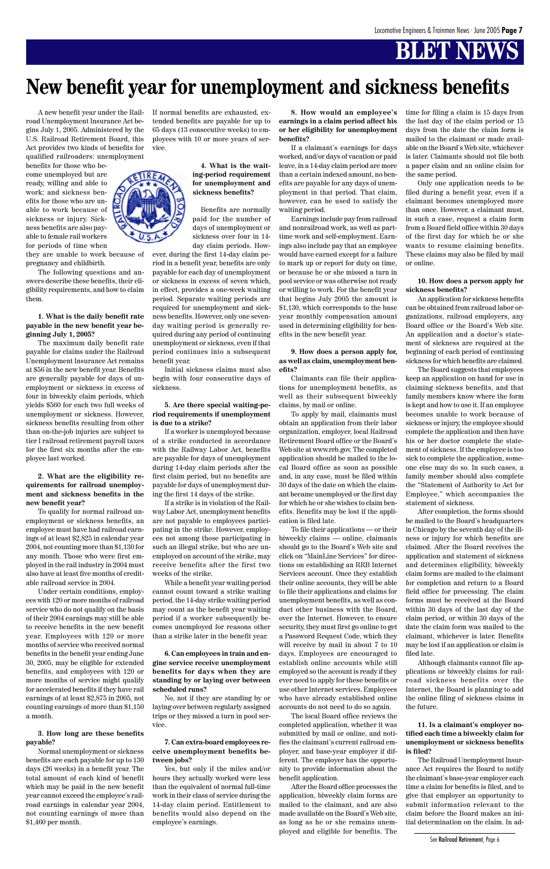A new benefit year under the Railroad Unemployment Insurance Act begins July 1, 2005. Administered by the U.S. Railroad Retirement Board, this Act provides two kinds of benefits for qualified railroaders: unemployment

benefits for those who become unemployed but are ready, willing and able to work; and sickness benefits for those who are unable to work because of sickness or injury. Sickness benefits are also payable to female rail workers for periods of time when

they are unable to work because of pregnancy and childbirth.

The following questions and answers describe these benefits, their eligibility requirements, and how to claim them.

**1. What is the daily benefit rate payable in the new benefit year beginning July 1, 2005?**

The maximum daily benefit rate payable for claims under the Railroad Unemployment Insurance Act remains at \$56 in the new benefit year. Benefits are generally payable for days of unemployment or sickness in excess of four in biweekly claim periods, which yields \$560 for each two full weeks of unemployment or sickness. However, sickness benefits resulting from other than on-the-job injuries are subject to tier I railroad retirement payroll taxes for the first six months after the employee last worked.

#### **2. What are the eligibility requirements for railroad unemployment and sickness benefits in the new benefit year?**

To qualify for normal railroad unemployment or sickness benefits, an employee must have had railroad earnings of at least \$2,825 in calendar year 2004, not counting more than \$1,130 for any month. Those who were first employed in the rail industry in 2004 must also have at least five months of creditable railroad service in 2004.

Under certain conditions, employees with 120 or more months of railroad service who do not qualify on the basis of their 2004 earnings may still be able to receive benefits in the new benefit year. Employees with 120 or more months of service who received normal benefits in the benefit year ending June 30, 2005, may be eligible for extended benefits, and employees with 120 or more months of service might qualify for accelerated benefits if they have rail earnings of at least \$2,875 in 2005, not counting earnings of more than \$1,150 a month.

### **3. How long are these benefits payable?**

Normal unemployment or sickness benefits are each payable for up to 130 days (26 weeks) in a benefit year. The total amount of each kind of benefit which may be paid in the new benefit year cannot exceed the employee's railroad earnings in calendar year 2004, not counting earnings of more than \$1,460 per month.

If normal benefits are exhausted, extended benefits are payable for up to 65 days (13 consecutive weeks) to employees with 10 or more years of service.

### **4. What is the waiting-period requirement for unemployment and sickness benefits?**

Benefits are normally paid for the number of days of unemployment or sickness over four in 14 day claim periods. How-

ever, during the first 14-day claim period in a benefit year, benefits are only payable for each day of unemployment or sickness in excess of seven which, in effect, provides a one-week waiting period. Separate waiting periods are required for unemployment and sickness benefits. However, only one sevenday waiting period is generally required during any period of continuing unemployment or sickness, even if that period continues into a subsequent benefit year.

Initial sickness claims must also begin with four consecutive days of sickness.

#### **5. Are there special waiting-period requirements if unemployment is due to a strike?**

If a worker is unemployed because of a strike conducted in accordance with the Railway Labor Act, benefits are payable for days of unemployment during 14-day claim periods after the first claim period, but no benefits are payable for days of unemployment during the first 14 days of the strike.

If a strike is in violation of the Railway Labor Act, unemployment benefits are not payable to employees participating in the strike. However, employees not among those participating in such an illegal strike, but who are unemployed on account of the strike, may receive benefits after the first two weeks of the strike.

While a benefit year waiting period cannot count toward a strike waiting period, the 14-day strike waiting period may count as the benefit year waiting period if a worker subsequently becomes unemployed for reasons other than a strike later in the benefit year.

**6. Can employees in train and engine service receive unemployment benefits for days when they are standing by or laying over between scheduled runs?**

No, not if they are standing by or laying over between regularly assigned trips or they missed a turn in pool service.

**7. Can extra-board employees receive unemployment benefits between jobs?**

Yes, but only if the miles and/or hours they actually worked were less than the equivalent of normal full-time work in their class of service during the 14-day claim period. Entitlement to benefits would also depend on the employee's earnings.

**8. How would an employee's earnings in a claim period affect his or her eligibility for unemployment benefits?**

If a claimant's earnings for days worked, and/or days of vacation or paid leave, in a 14-day claim period are more than a certain indexed amount, no benefits are payable for any days of unemployment in that period. That claim, however, can be used to satisfy the waiting period.

Earnings include pay from railroad and nonrailroad work, as well as parttime work and self-employment. Earnings also include pay that an employee would have earned except for a failure to mark up or report for duty on time, or because he or she missed a turn in pool service or was otherwise not ready or willing to work. For the benefit year that begins July 2005 the amount is \$1,130, which corresponds to the base year monthly compensation amount used in determining eligibility for benefits in the new benefit year.

#### **9. How does a person apply for, as well as claim, unemployment benefits?**

Claimants can file their applications for unemployment benefits, as well as their subsequent biweekly claims, by mail or online.

To apply by mail, claimants must obtain an application from their labor organization, employer, local Railroad Retirement Board office or the Board's Web site at www.rrb.gov. The completed application should be mailed to the local Board office as soon as possible and, in any case, must be filed within 30 days of the date on which the claimant became unemployed or the first day for which he or she wishes to claim benefits. Benefits may be lost if the application is filed late.

To file their applications — or their biweekly claims — online, claimants should go to the Board's Web site and click on "MainLine Services" for directions on establishing an RRB Internet Services account. Once they establish their online accounts, they will be able to file their applications and claims for unemployment benefits, as well as conduct other business with the Board, over the Internet. However, to ensure security, they must first go online to get a Password Request Code, which they will receive by mail in about 7 to 10 days. Employees are encouraged to establish online accounts while still employed so the account is ready if they ever need to apply for these benefits or use other Internet services. Employees who have already established online accounts do not need to do so again. The local Board office reviews the completed application, whether it was submitted by mail or online, and notifies the claimant's current railroad employer, and base-year employer if different. The employer has the opportunity to provide information about the benefit application. After the Board office processes the application, biweekly claim forms are mailed to the claimant, and are also made available on the Board's Web site, as long as he or she remains unemployed and eligible for benefits. The

time for filing a claim is 15 days from the last day of the claim period or 15 days from the date the claim form is mailed to the claimant or made available on the Board's Web site, whichever is later. Claimants should not file both a paper claim and an online claim for the same period.

Only one application needs to be filed during a benefit year, even if a claimant becomes unemployed more than once. However, a claimant must, in such a case, request a claim form from a Board field office within 30 days of the first day for which he or she wants to resume claiming benefits. These claims may also be filed by mail or online.

#### **10. How does a person apply for sickness benefits?**

An application for sickness benefits can be obtained from railroad labor organizations, railroad employers, any Board office or the Board's Web site. An application and a doctor's statement of sickness are required at the beginning of each period of continuing sickness for which benefits are claimed.

The Board suggests that employees keep an application on hand for use in claiming sickness benefits, and that family members know where the form is kept and how to use it. If an employee becomes unable to work because of sickness or injury, the employee should complete the application and then have his or her doctor complete the statement of sickness. If the employee is too sick to complete the application, someone else may do so. In such cases, a family member should also complete the "Statement of Authority to Act for Employee," which accompanies the statement of sickness.

After completion, the forms should be mailed to the Board's headquarters in Chicago by the seventh day of the illness or injury for which benefits are claimed. After the Board receives the application and statement of sickness and determines eligibility, biweekly claim forms are mailed to the claimant for completion and return to a Board field office for processing. The claim forms must be received at the Board within 30 days of the last day of the claim period, or within 30 days of the date the claim form was mailed to the claimant, whichever is later. Benefits may be lost if an application or claim is filed late. Although claimants cannot file applications or biweekly claims for railroad sickness benefits over the Internet, the Board is planning to add the online filing of sickness claims in the future.



**11. Is a claimant's employer notified each time a biweekly claim for unemployment or sickness benefits is filed?**

The Railroad Unemployment Insurance Act requires the Board to notify the claimant's base-year employer each time a claim for benefits is filed, and to give that employer an opportunity to submit information relevant to the claim before the Board makes an initial determination on the claim. In ad-

### **New benefit year for unemployment and sickness benefits**

See Railroad Retirement, Page 6